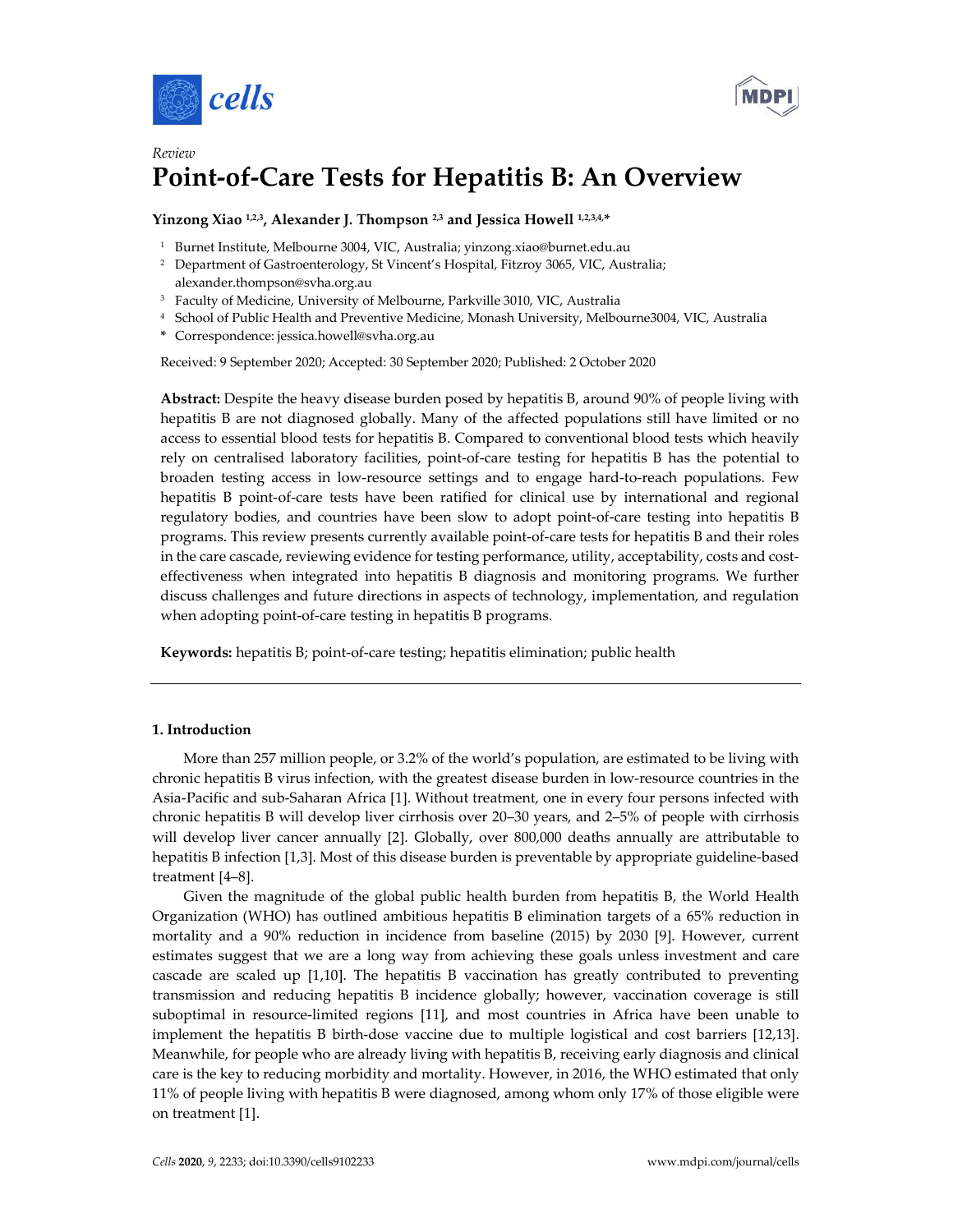



# *Review* **Point-of-Care Tests for Hepatitis B: An Overview**

# **Yinzong Xiao 1,2,3, Alexander J. Thompson 2,3 and Jessica Howell 1,2,3,4, \***

- <sup>1</sup> Burnet Institute, Melbourne 3004, VIC, Australia; yinzong.xiao@burnet.edu.au
- <sup>2</sup> Department of Gastroenterology, St Vincent's Hospital, Fitzroy 3065, VIC, Australia; alexander.thompson@svha.org.au
- <sup>3</sup> Faculty of Medicine, University of Melbourne, Parkville 3010, VIC, Australia
- <sup>4</sup> School of Public Health and Preventive Medicine, Monash University, Melbourne3004, VIC, Australia
- **\*** Correspondence: jessica.howell@svha.org.au

Received: 9 September 2020; Accepted: 30 September 2020; Published: 2 October 2020

**Abstract:** Despite the heavy disease burden posed by hepatitis B, around 90% of people living with hepatitis B are not diagnosed globally. Many of the affected populations still have limited or no access to essential blood tests for hepatitis B. Compared to conventional blood tests which heavily rely on centralised laboratory facilities, point-of-care testing for hepatitis B has the potential to broaden testing access in low-resource settings and to engage hard-to-reach populations. Few hepatitis B point-of-care tests have been ratified for clinical use by international and regional regulatory bodies, and countries have been slow to adopt point-of-care testing into hepatitis B programs. This review presents currently available point-of-care tests for hepatitis B and their roles in the care cascade, reviewing evidence for testing performance, utility, acceptability, costs and costeffectiveness when integrated into hepatitis B diagnosis and monitoring programs. We further discuss challenges and future directions in aspects of technology, implementation, and regulation when adopting point-of-care testing in hepatitis B programs.

**Keywords:** hepatitis B; point-of-care testing; hepatitis elimination; public health

### **1. Introduction**

More than 257 million people, or 3.2% of the world's population, are estimated to be living with chronic hepatitis B virus infection, with the greatest disease burden in low-resource countries in the Asia-Pacific and sub-Saharan Africa [1]. Without treatment, one in every four persons infected with chronic hepatitis B will develop liver cirrhosis over 20–30 years, and 2–5% of people with cirrhosis will develop liver cancer annually [2]. Globally, over 800,000 deaths annually are attributable to hepatitis B infection [1,3]. Most of this disease burden is preventable by appropriate guideline-based treatment [4–8].

Given the magnitude of the global public health burden from hepatitis B, the World Health Organization (WHO) has outlined ambitious hepatitis B elimination targets of a 65% reduction in mortality and a 90% reduction in incidence from baseline (2015) by 2030 [9]. However, current estimates suggest that we are a long way from achieving these goals unless investment and care cascade are scaled up [1,10]. The hepatitis B vaccination has greatly contributed to preventing transmission and reducing hepatitis B incidence globally; however, vaccination coverage is still suboptimal in resource-limited regions [11], and most countries in Africa have been unable to implement the hepatitis B birth-dose vaccine due to multiple logistical and cost barriers [12,13]. Meanwhile, for people who are already living with hepatitis B, receiving early diagnosis and clinical care is the key to reducing morbidity and mortality. However, in 2016, the WHO estimated that only 11% of people living with hepatitis B were diagnosed, among whom only 17% of those eligible were on treatment [1].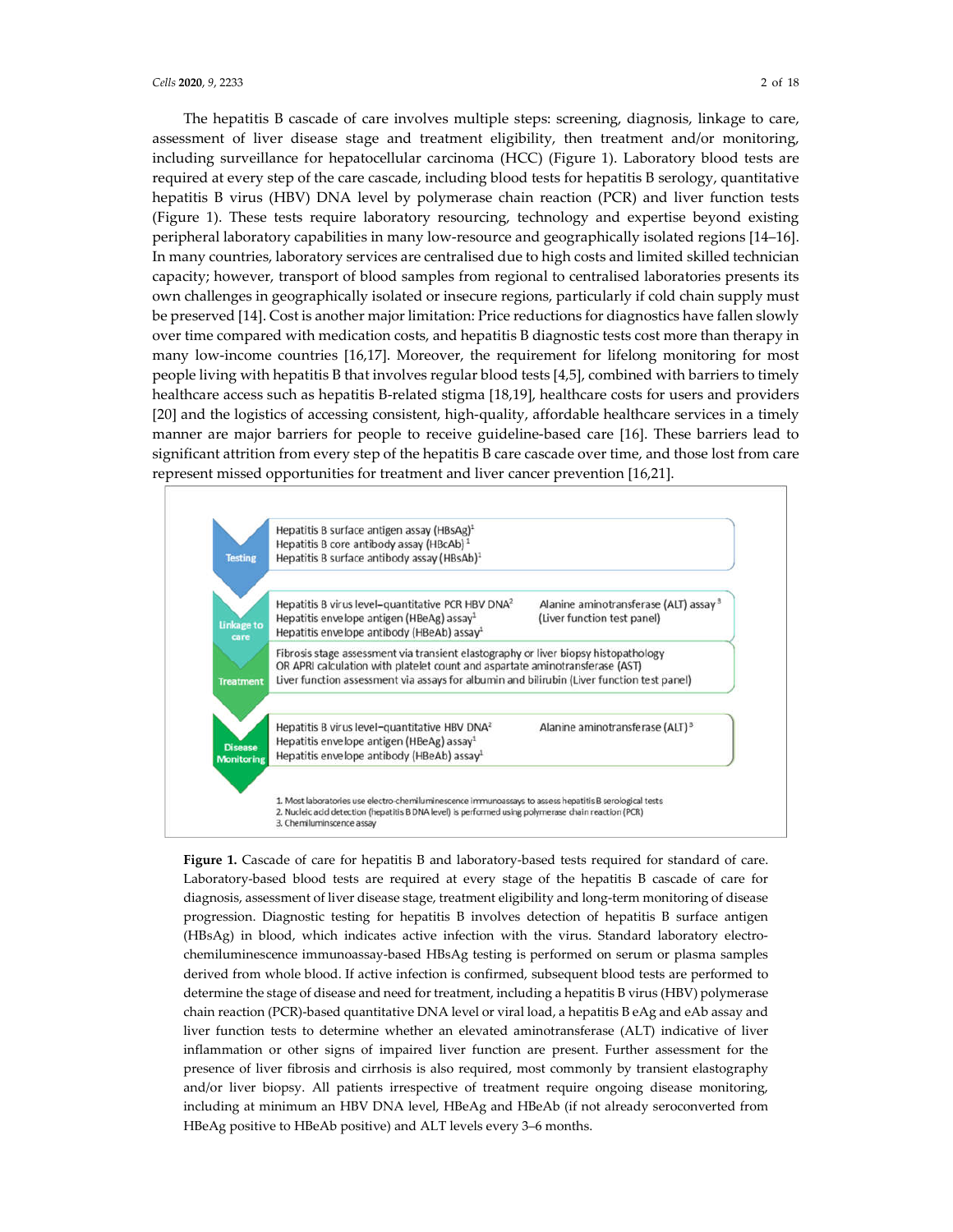The hepatitis B cascade of care involves multiple steps: screening, diagnosis, linkage to care, assessment of liver disease stage and treatment eligibility, then treatment and/or monitoring, including surveillance for hepatocellular carcinoma (HCC) (Figure 1). Laboratory blood tests are required at every step of the care cascade, including blood tests for hepatitis B serology, quantitative hepatitis B virus (HBV) DNA level by polymerase chain reaction (PCR) and liver function tests (Figure 1). These tests require laboratory resourcing, technology and expertise beyond existing peripheral laboratory capabilities in many low-resource and geographically isolated regions [14–16]. In many countries, laboratory services are centralised due to high costs and limited skilled technician capacity; however, transport of blood samples from regional to centralised laboratories presents its own challenges in geographically isolated or insecure regions, particularly if cold chain supply must be preserved [14]. Cost is another major limitation: Price reductions for diagnostics have fallen slowly over time compared with medication costs, and hepatitis B diagnostic tests cost more than therapy in many low-income countries [16,17]. Moreover, the requirement for lifelong monitoring for most people living with hepatitis B that involves regular blood tests [4,5], combined with barriers to timely healthcare access such as hepatitis B-related stigma [18,19], healthcare costs for users and providers [20] and the logistics of accessing consistent, high-quality, affordable healthcare services in a timely manner are major barriers for people to receive guideline-based care [16]. These barriers lead to significant attrition from every step of the hepatitis B care cascade over time, and those lost from care represent missed opportunities for treatment and liver cancer prevention [16,21].



**Figure 1.** Cascade of care for hepatitis B and laboratory-based tests required for standard of care. Laboratory-based blood tests are required at every stage of the hepatitis B cascade of care for diagnosis, assessment of liver disease stage, treatment eligibility and long-term monitoring of disease progression. Diagnostic testing for hepatitis B involves detection of hepatitis B surface antigen (HBsAg) in blood, which indicates active infection with the virus. Standard laboratory electrochemiluminescence immunoassay-based HBsAg testing is performed on serum or plasma samples derived from whole blood. If active infection is confirmed, subsequent blood tests are performed to determine the stage of disease and need for treatment, including a hepatitis B virus (HBV) polymerase chain reaction (PCR)-based quantitative DNA level or viral load, a hepatitis B eAg and eAb assay and liver function tests to determine whether an elevated aminotransferase (ALT) indicative of liver inflammation or other signs of impaired liver function are present. Further assessment for the presence of liver fibrosis and cirrhosis is also required, most commonly by transient elastography and/or liver biopsy. All patients irrespective of treatment require ongoing disease monitoring, including at minimum an HBV DNA level, HBeAg and HBeAb (if not already seroconverted from HBeAg positive to HBeAb positive) and ALT levels every 3–6 months.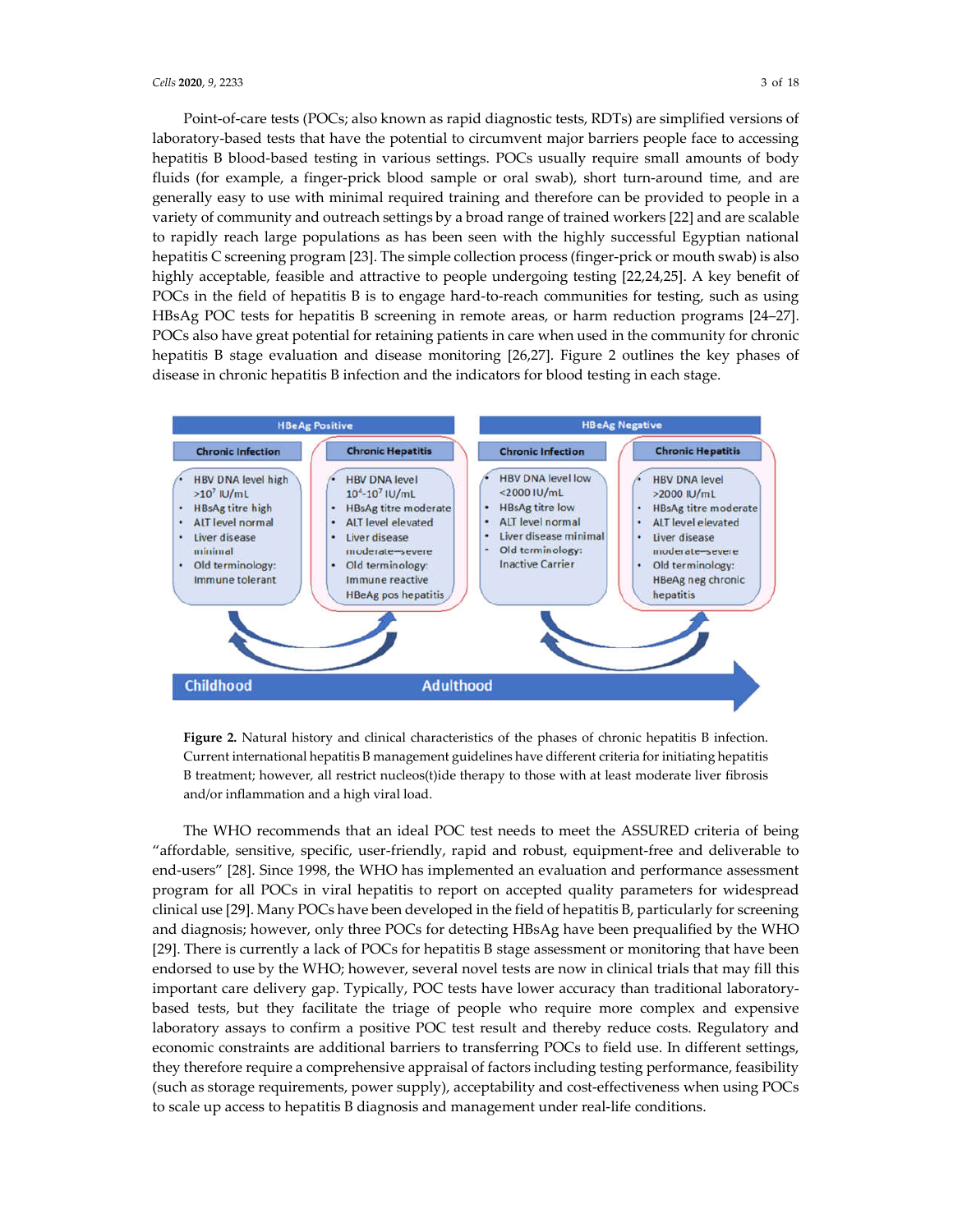Point-of-care tests (POCs; also known as rapid diagnostic tests, RDTs) are simplified versions of laboratory-based tests that have the potential to circumvent major barriers people face to accessing hepatitis B blood-based testing in various settings. POCs usually require small amounts of body fluids (for example, a finger-prick blood sample or oral swab), short turn-around time, and are generally easy to use with minimal required training and therefore can be provided to people in a variety of community and outreach settings by a broad range of trained workers [22] and are scalable to rapidly reach large populations as has been seen with the highly successful Egyptian national hepatitis C screening program [23]. The simple collection process (finger-prick or mouth swab) is also highly acceptable, feasible and attractive to people undergoing testing [22,24,25]. A key benefit of POCs in the field of hepatitis B is to engage hard-to-reach communities for testing, such as using HBsAg POC tests for hepatitis B screening in remote areas, or harm reduction programs [24–27]. POCs also have great potential for retaining patients in care when used in the community for chronic hepatitis B stage evaluation and disease monitoring [26,27]. Figure 2 outlines the key phases of disease in chronic hepatitis B infection and the indicators for blood testing in each stage.



**Figure 2.** Natural history and clinical characteristics of the phases of chronic hepatitis B infection. Current international hepatitis B management guidelines have different criteria for initiating hepatitis B treatment; however, all restrict nucleos(t)ide therapy to those with at least moderate liver fibrosis and/or inflammation and a high viral load.

The WHO recommends that an ideal POC test needs to meet the ASSURED criteria of being "affordable, sensitive, specific, user-friendly, rapid and robust, equipment-free and deliverable to end-users" [28]. Since 1998, the WHO has implemented an evaluation and performance assessment program for all POCs in viral hepatitis to report on accepted quality parameters for widespread clinical use [29]. Many POCs have been developed in the field of hepatitis B, particularly for screening and diagnosis; however, only three POCs for detecting HBsAg have been prequalified by the WHO [29]. There is currently a lack of POCs for hepatitis B stage assessment or monitoring that have been endorsed to use by the WHO; however, several novel tests are now in clinical trials that may fill this important care delivery gap. Typically, POC tests have lower accuracy than traditional laboratorybased tests, but they facilitate the triage of people who require more complex and expensive laboratory assays to confirm a positive POC test result and thereby reduce costs. Regulatory and economic constraints are additional barriers to transferring POCs to field use. In different settings, they therefore require a comprehensive appraisal of factors including testing performance, feasibility (such as storage requirements, power supply), acceptability and cost-effectiveness when using POCs to scale up access to hepatitis B diagnosis and management under real-life conditions.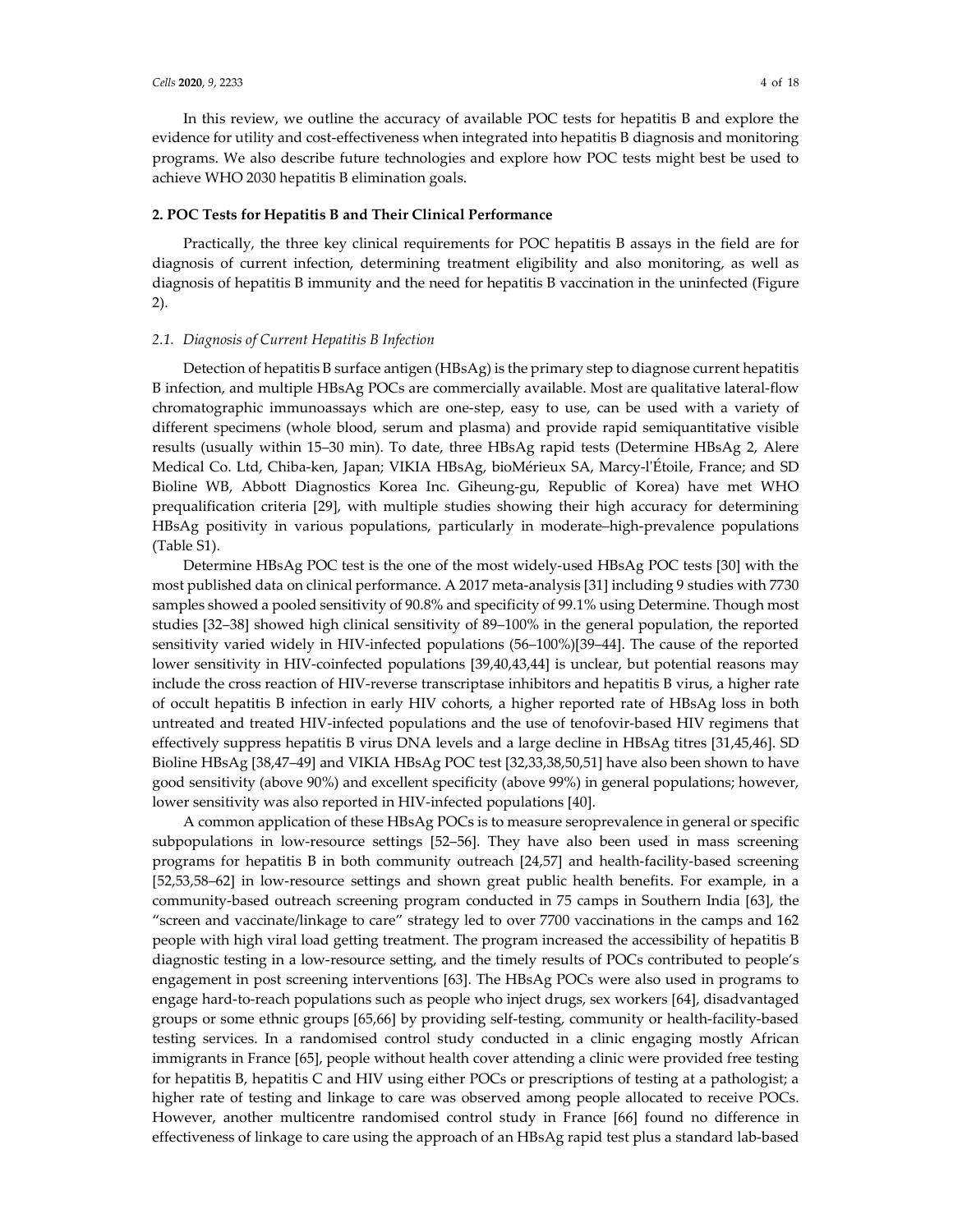In this review, we outline the accuracy of available POC tests for hepatitis B and explore the evidence for utility and cost-effectiveness when integrated into hepatitis B diagnosis and monitoring programs. We also describe future technologies and explore how POC tests might best be used to achieve WHO 2030 hepatitis B elimination goals.

## **2. POC Tests for Hepatitis B and Their Clinical Performance**

Practically, the three key clinical requirements for POC hepatitis B assays in the field are for diagnosis of current infection, determining treatment eligibility and also monitoring, as well as diagnosis of hepatitis B immunity and the need for hepatitis B vaccination in the uninfected (Figure 2).

### *2.1. Diagnosis of Current Hepatitis B Infection*

Detection of hepatitis B surface antigen (HBsAg) is the primary step to diagnose current hepatitis B infection, and multiple HBsAg POCs are commercially available. Most are qualitative lateral-flow chromatographic immunoassays which are one-step, easy to use, can be used with a variety of different specimens (whole blood, serum and plasma) and provide rapid semiquantitative visible results (usually within 15–30 min). To date, three HBsAg rapid tests (Determine HBsAg 2, Alere Medical Co. Ltd, Chiba-ken, Japan; VIKIA HBsAg, bioMérieux SA, Marcy-l'Étoile, France; and SD Bioline WB, Abbott Diagnostics Korea Inc. Giheung-gu, Republic of Korea) have met WHO prequalification criteria [29], with multiple studies showing their high accuracy for determining HBsAg positivity in various populations, particularly in moderate–high-prevalence populations (Table S1).

Determine HBsAg POC test is the one of the most widely-used HBsAg POC tests [30] with the most published data on clinical performance. A 2017 meta-analysis [31] including 9 studies with 7730 samples showed a pooled sensitivity of 90.8% and specificity of 99.1% using Determine. Though most studies [32–38] showed high clinical sensitivity of 89–100% in the general population, the reported sensitivity varied widely in HIV-infected populations (56–100%)[39–44]. The cause of the reported lower sensitivity in HIV-coinfected populations [39,40,43,44] is unclear, but potential reasons may include the cross reaction of HIV-reverse transcriptase inhibitors and hepatitis B virus, a higher rate of occult hepatitis B infection in early HIV cohorts, a higher reported rate of HBsAg loss in both untreated and treated HIV-infected populations and the use of tenofovir-based HIV regimens that effectively suppress hepatitis B virus DNA levels and a large decline in HBsAg titres [31,45,46]. SD Bioline HBsAg [38,47–49] and VIKIA HBsAg POC test [32,33,38,50,51] have also been shown to have good sensitivity (above 90%) and excellent specificity (above 99%) in general populations; however, lower sensitivity was also reported in HIV-infected populations [40].

A common application of these HBsAg POCs is to measure seroprevalence in general or specific subpopulations in low-resource settings [52–56]. They have also been used in mass screening programs for hepatitis B in both community outreach [24,57] and health-facility-based screening [52,53,58–62] in low-resource settings and shown great public health benefits. For example, in a community-based outreach screening program conducted in 75 camps in Southern India [63], the "screen and vaccinate/linkage to care" strategy led to over 7700 vaccinations in the camps and 162 people with high viral load getting treatment. The program increased the accessibility of hepatitis B diagnostic testing in a low-resource setting, and the timely results of POCs contributed to people's engagement in post screening interventions [63]. The HBsAg POCs were also used in programs to engage hard-to-reach populations such as people who inject drugs, sex workers [64], disadvantaged groups or some ethnic groups [65,66] by providing self-testing, community or health-facility-based testing services. In a randomised control study conducted in a clinic engaging mostly African immigrants in France [65], people without health cover attending a clinic were provided free testing for hepatitis B, hepatitis C and HIV using either POCs or prescriptions of testing at a pathologist; a higher rate of testing and linkage to care was observed among people allocated to receive POCs. However, another multicentre randomised control study in France [66] found no difference in effectiveness of linkage to care using the approach of an HBsAg rapid test plus a standard lab-based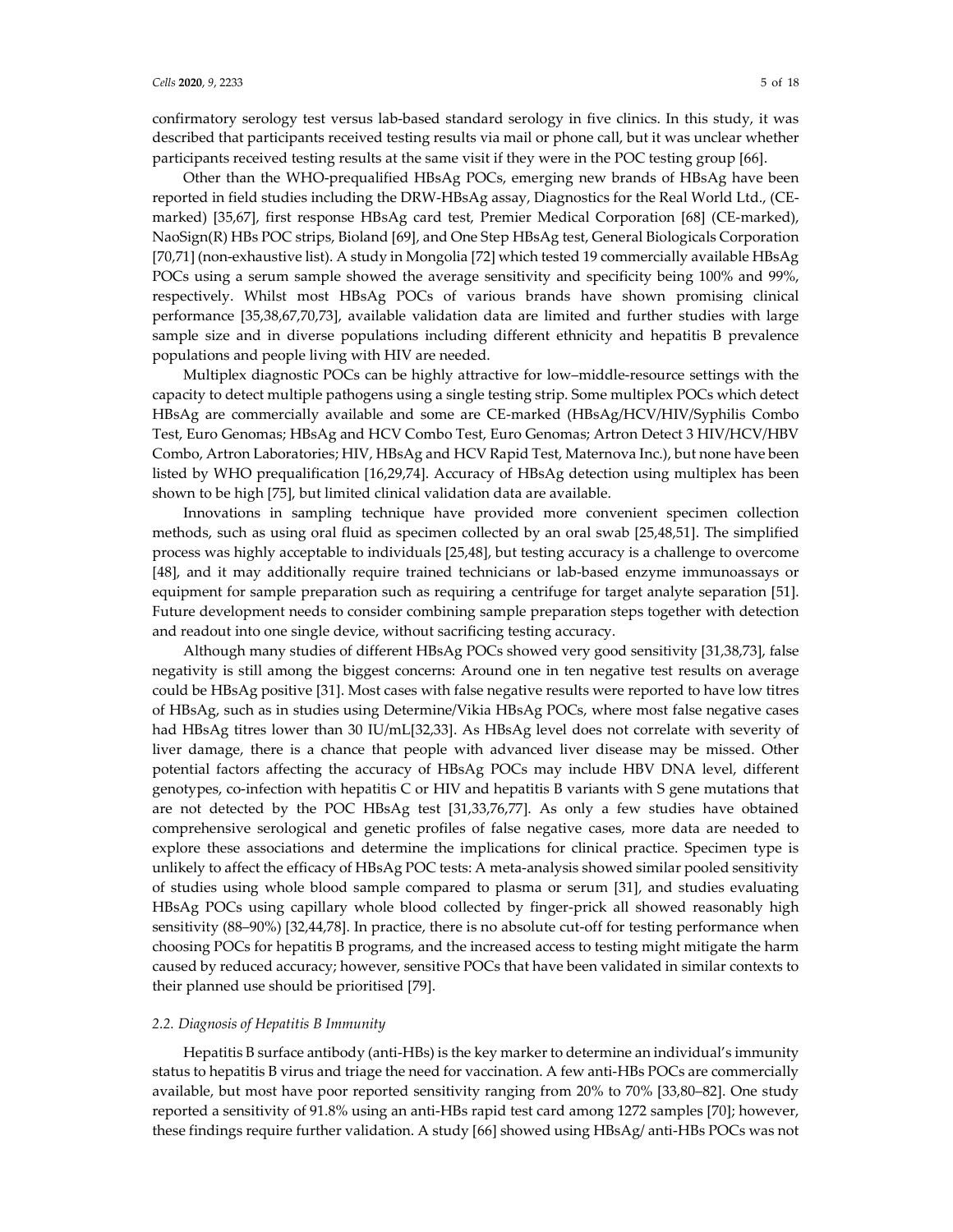confirmatory serology test versus lab-based standard serology in five clinics. In this study, it was described that participants received testing results via mail or phone call, but it was unclear whether participants received testing results at the same visit if they were in the POC testing group [66].

Other than the WHO-prequalified HBsAg POCs, emerging new brands of HBsAg have been reported in field studies including the DRW-HBsAg assay, Diagnostics for the Real World Ltd., (CEmarked) [35,67], first response HBsAg card test, Premier Medical Corporation [68] (CE-marked), NaoSign(R) HBs POC strips, Bioland [69], and One Step HBsAg test, General Biologicals Corporation [70,71] (non-exhaustive list). A study in Mongolia [72] which tested 19 commercially available HBsAg POCs using a serum sample showed the average sensitivity and specificity being 100% and 99%, respectively. Whilst most HBsAg POCs of various brands have shown promising clinical performance [35,38,67,70,73], available validation data are limited and further studies with large sample size and in diverse populations including different ethnicity and hepatitis B prevalence populations and people living with HIV are needed.

Multiplex diagnostic POCs can be highly attractive for low–middle-resource settings with the capacity to detect multiple pathogens using a single testing strip. Some multiplex POCs which detect HBsAg are commercially available and some are CE-marked (HBsAg/HCV/HIV/Syphilis Combo Test, Euro Genomas; HBsAg and HCV Combo Test, Euro Genomas; Artron Detect 3 HIV/HCV/HBV Combo, Artron Laboratories; HIV, HBsAg and HCV Rapid Test, Maternova Inc.), but none have been listed by WHO prequalification [16,29,74]. Accuracy of HBsAg detection using multiplex has been shown to be high [75], but limited clinical validation data are available.

Innovations in sampling technique have provided more convenient specimen collection methods, such as using oral fluid as specimen collected by an oral swab [25,48,51]. The simplified process was highly acceptable to individuals [25,48], but testing accuracy is a challenge to overcome [48], and it may additionally require trained technicians or lab-based enzyme immunoassays or equipment for sample preparation such as requiring a centrifuge for target analyte separation [51]. Future development needs to consider combining sample preparation steps together with detection and readout into one single device, without sacrificing testing accuracy.

Although many studies of different HBsAg POCs showed very good sensitivity [31,38,73], false negativity is still among the biggest concerns: Around one in ten negative test results on average could be HBsAg positive [31]. Most cases with false negative results were reported to have low titres of HBsAg, such as in studies using Determine/Vikia HBsAg POCs, where most false negative cases had HBsAg titres lower than 30 IU/mL[32,33]. As HBsAg level does not correlate with severity of liver damage, there is a chance that people with advanced liver disease may be missed. Other potential factors affecting the accuracy of HBsAg POCs may include HBV DNA level, different genotypes, co-infection with hepatitis C or HIV and hepatitis B variants with S gene mutations that are not detected by the POC HBsAg test [31,33,76,77]. As only a few studies have obtained comprehensive serological and genetic profiles of false negative cases, more data are needed to explore these associations and determine the implications for clinical practice. Specimen type is unlikely to affect the efficacy of HBsAg POC tests: A meta-analysis showed similar pooled sensitivity of studies using whole blood sample compared to plasma or serum [31], and studies evaluating HBsAg POCs using capillary whole blood collected by finger-prick all showed reasonably high sensitivity (88–90%) [32,44,78]. In practice, there is no absolute cut-off for testing performance when choosing POCs for hepatitis B programs, and the increased access to testing might mitigate the harm caused by reduced accuracy; however, sensitive POCs that have been validated in similar contexts to their planned use should be prioritised [79].

#### *2.2. Diagnosis of Hepatitis B Immunity*

Hepatitis B surface antibody (anti-HBs) is the key marker to determine an individual's immunity status to hepatitis B virus and triage the need for vaccination. A few anti-HBs POCs are commercially available, but most have poor reported sensitivity ranging from 20% to 70% [33,80–82]. One study reported a sensitivity of 91.8% using an anti-HBs rapid test card among 1272 samples [70]; however, these findings require further validation. A study [66] showed using HBsAg/ anti-HBs POCs was not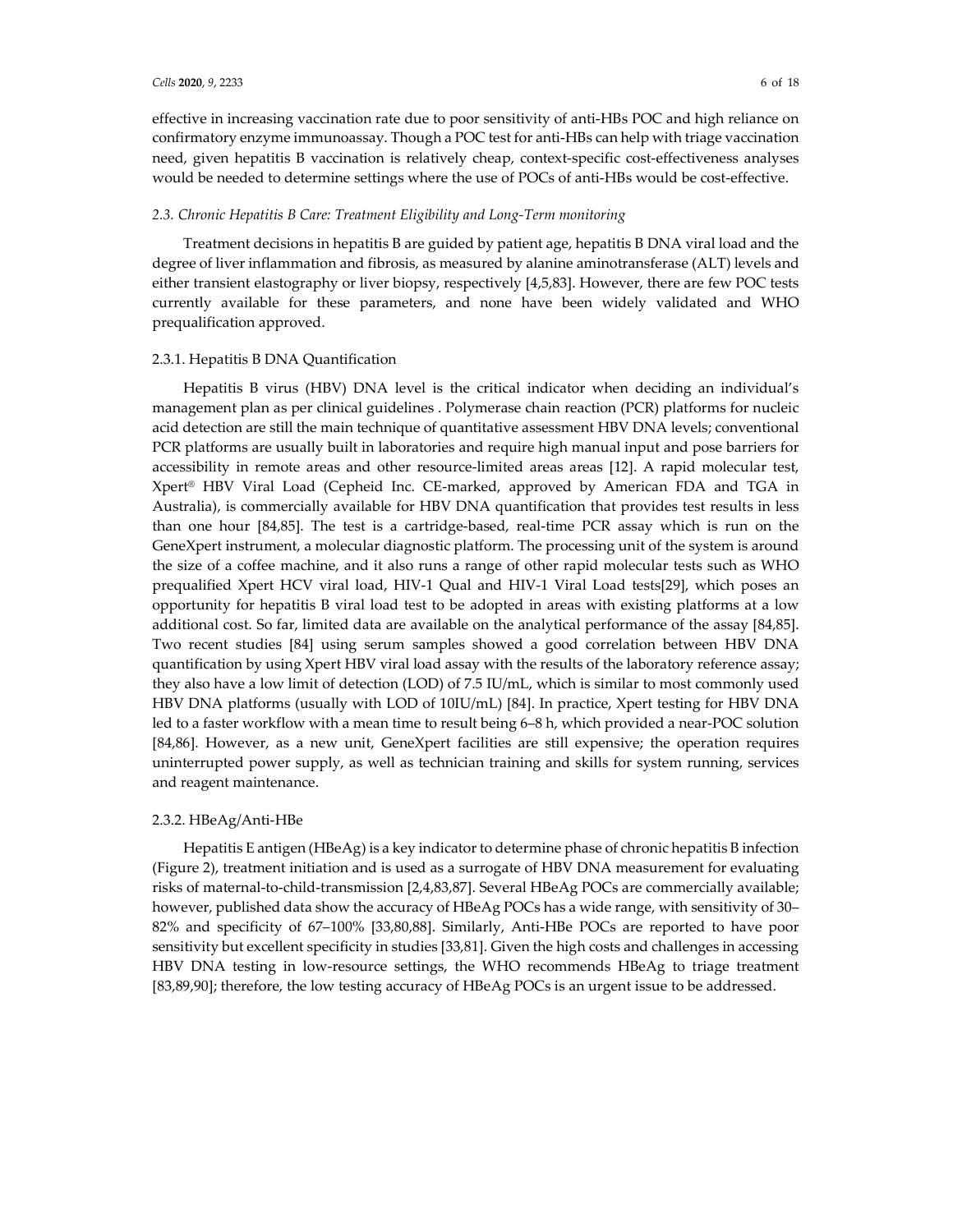effective in increasing vaccination rate due to poor sensitivity of anti-HBs POC and high reliance on confirmatory enzyme immunoassay. Though a POC test for anti-HBs can help with triage vaccination need, given hepatitis B vaccination is relatively cheap, context-specific cost-effectiveness analyses would be needed to determine settings where the use of POCs of anti-HBs would be cost-effective.

## *2.3. Chronic Hepatitis B Care: Treatment Eligibility and Long-Term monitoring*

Treatment decisions in hepatitis B are guided by patient age, hepatitis B DNA viral load and the degree of liver inflammation and fibrosis, as measured by alanine aminotransferase (ALT) levels and either transient elastography or liver biopsy, respectively [4,5,83]. However, there are few POC tests currently available for these parameters, and none have been widely validated and WHO prequalification approved.

## 2.3.1. Hepatitis B DNA Quantification

Hepatitis B virus (HBV) DNA level is the critical indicator when deciding an individual's management plan as per clinical guidelines . Polymerase chain reaction (PCR) platforms for nucleic acid detection are still the main technique of quantitative assessment HBV DNA levels; conventional PCR platforms are usually built in laboratories and require high manual input and pose barriers for accessibility in remote areas and other resource-limited areas areas [12]. A rapid molecular test, Xpert® HBV Viral Load (Cepheid Inc. CE-marked, approved by American FDA and TGA in Australia), is commercially available for HBV DNA quantification that provides test results in less than one hour [84,85]. The test is a cartridge-based, real-time PCR assay which is run on the GeneXpert instrument, a molecular diagnostic platform. The processing unit of the system is around the size of a coffee machine, and it also runs a range of other rapid molecular tests such as WHO prequalified Xpert HCV viral load, HIV-1 Qual and HIV-1 Viral Load tests[29], which poses an opportunity for hepatitis B viral load test to be adopted in areas with existing platforms at a low additional cost. So far, limited data are available on the analytical performance of the assay [84,85]. Two recent studies [84] using serum samples showed a good correlation between HBV DNA quantification by using Xpert HBV viral load assay with the results of the laboratory reference assay; they also have a low limit of detection (LOD) of 7.5 IU/mL, which is similar to most commonly used HBV DNA platforms (usually with LOD of 10IU/mL) [84]. In practice, Xpert testing for HBV DNA led to a faster workflow with a mean time to result being 6–8 h, which provided a near-POC solution [84,86]. However, as a new unit, GeneXpert facilities are still expensive; the operation requires uninterrupted power supply, as well as technician training and skills for system running, services and reagent maintenance.

#### 2.3.2. HBeAg/Anti-HBe

Hepatitis E antigen (HBeAg) is a key indicator to determine phase of chronic hepatitis B infection (Figure 2), treatment initiation and is used as a surrogate of HBV DNA measurement for evaluating risks of maternal-to-child-transmission [2,4,83,87]. Several HBeAg POCs are commercially available; however, published data show the accuracy of HBeAg POCs has a wide range, with sensitivity of 30– 82% and specificity of 67–100% [33,80,88]. Similarly, Anti-HBe POCs are reported to have poor sensitivity but excellent specificity in studies [33,81]. Given the high costs and challenges in accessing HBV DNA testing in low-resource settings, the WHO recommends HBeAg to triage treatment [83,89,90]; therefore, the low testing accuracy of HBeAg POCs is an urgent issue to be addressed.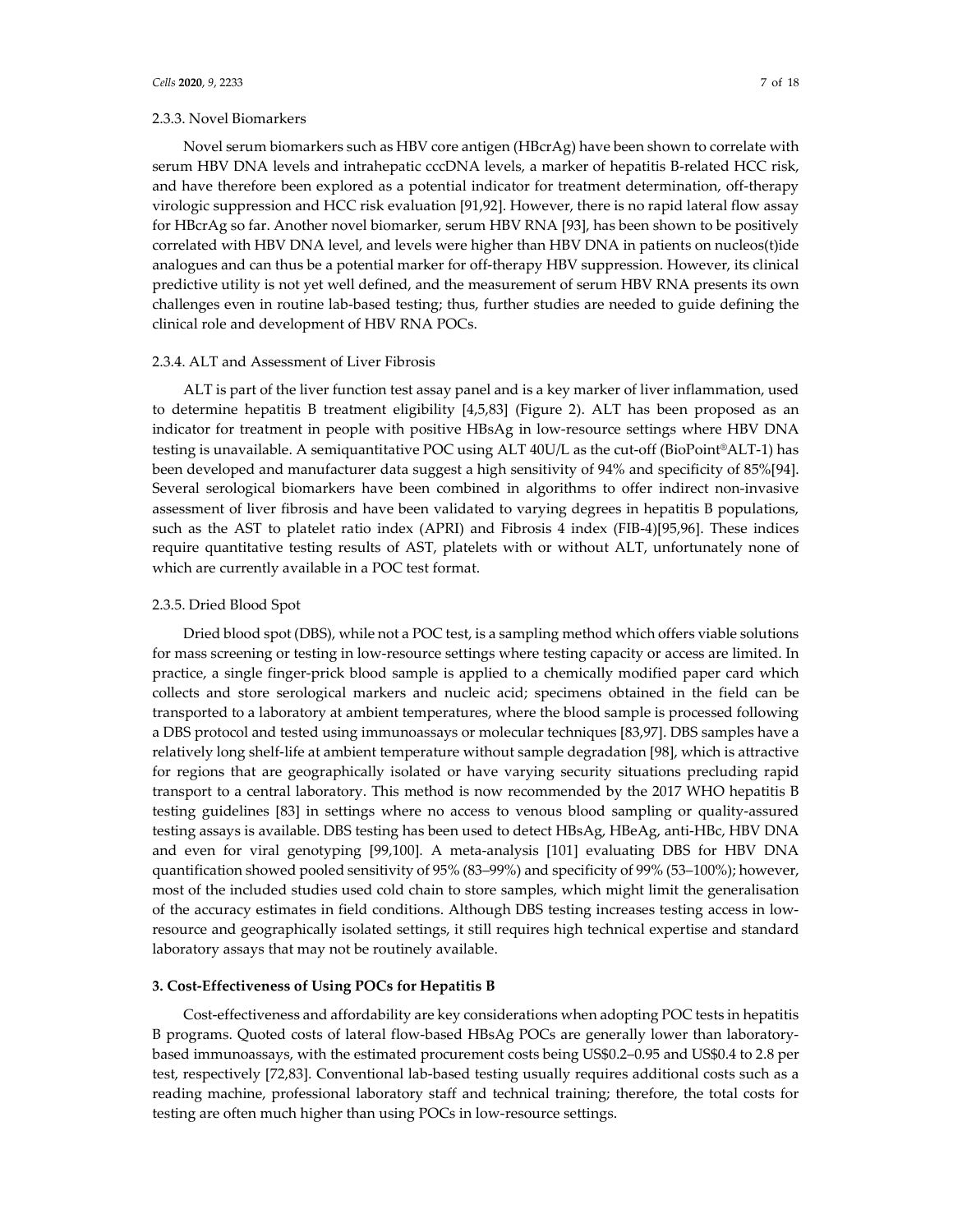## 2.3.3. Novel Biomarkers

Novel serum biomarkers such as HBV core antigen (HBcrAg) have been shown to correlate with serum HBV DNA levels and intrahepatic cccDNA levels, a marker of hepatitis B-related HCC risk, and have therefore been explored as a potential indicator for treatment determination, off-therapy virologic suppression and HCC risk evaluation [91,92]. However, there is no rapid lateral flow assay for HBcrAg so far. Another novel biomarker, serum HBV RNA [93], has been shown to be positively correlated with HBV DNA level, and levels were higher than HBV DNA in patients on nucleos(t)ide analogues and can thus be a potential marker for off-therapy HBV suppression. However, its clinical predictive utility is not yet well defined, and the measurement of serum HBV RNA presents its own challenges even in routine lab-based testing; thus, further studies are needed to guide defining the clinical role and development of HBV RNA POCs.

#### 2.3.4. ALT and Assessment of Liver Fibrosis

ALT is part of the liver function test assay panel and is a key marker of liver inflammation, used to determine hepatitis B treatment eligibility [4,5,83] (Figure 2). ALT has been proposed as an indicator for treatment in people with positive HBsAg in low-resource settings where HBV DNA testing is unavailable. A semiquantitative POC using ALT 40U/L as the cut-off (BioPoint®ALT-1) has been developed and manufacturer data suggest a high sensitivity of 94% and specificity of 85%[94]. Several serological biomarkers have been combined in algorithms to offer indirect non-invasive assessment of liver fibrosis and have been validated to varying degrees in hepatitis B populations, such as the AST to platelet ratio index (APRI) and Fibrosis 4 index (FIB-4)[95,96]. These indices require quantitative testing results of AST, platelets with or without ALT, unfortunately none of which are currently available in a POC test format.

## 2.3.5. Dried Blood Spot

Dried blood spot (DBS), while not a POC test, is a sampling method which offers viable solutions for mass screening or testing in low-resource settings where testing capacity or access are limited. In practice, a single finger-prick blood sample is applied to a chemically modified paper card which collects and store serological markers and nucleic acid; specimens obtained in the field can be transported to a laboratory at ambient temperatures, where the blood sample is processed following a DBS protocol and tested using immunoassays or molecular techniques [83,97]. DBS samples have a relatively long shelf-life at ambient temperature without sample degradation [98], which is attractive for regions that are geographically isolated or have varying security situations precluding rapid transport to a central laboratory. This method is now recommended by the 2017 WHO hepatitis B testing guidelines [83] in settings where no access to venous blood sampling or quality-assured testing assays is available. DBS testing has been used to detect HBsAg, HBeAg, anti-HBc, HBV DNA and even for viral genotyping [99,100]. A meta-analysis [101] evaluating DBS for HBV DNA quantification showed pooled sensitivity of 95% (83–99%) and specificity of 99% (53–100%); however, most of the included studies used cold chain to store samples, which might limit the generalisation of the accuracy estimates in field conditions. Although DBS testing increases testing access in lowresource and geographically isolated settings, it still requires high technical expertise and standard laboratory assays that may not be routinely available.

## **3. Cost-Effectiveness of Using POCs for Hepatitis B**

Cost-effectiveness and affordability are key considerations when adopting POC tests in hepatitis B programs. Quoted costs of lateral flow-based HBsAg POCs are generally lower than laboratorybased immunoassays, with the estimated procurement costs being US\$0.2–0.95 and US\$0.4 to 2.8 per test, respectively [72,83]. Conventional lab-based testing usually requires additional costs such as a reading machine, professional laboratory staff and technical training; therefore, the total costs for testing are often much higher than using POCs in low-resource settings.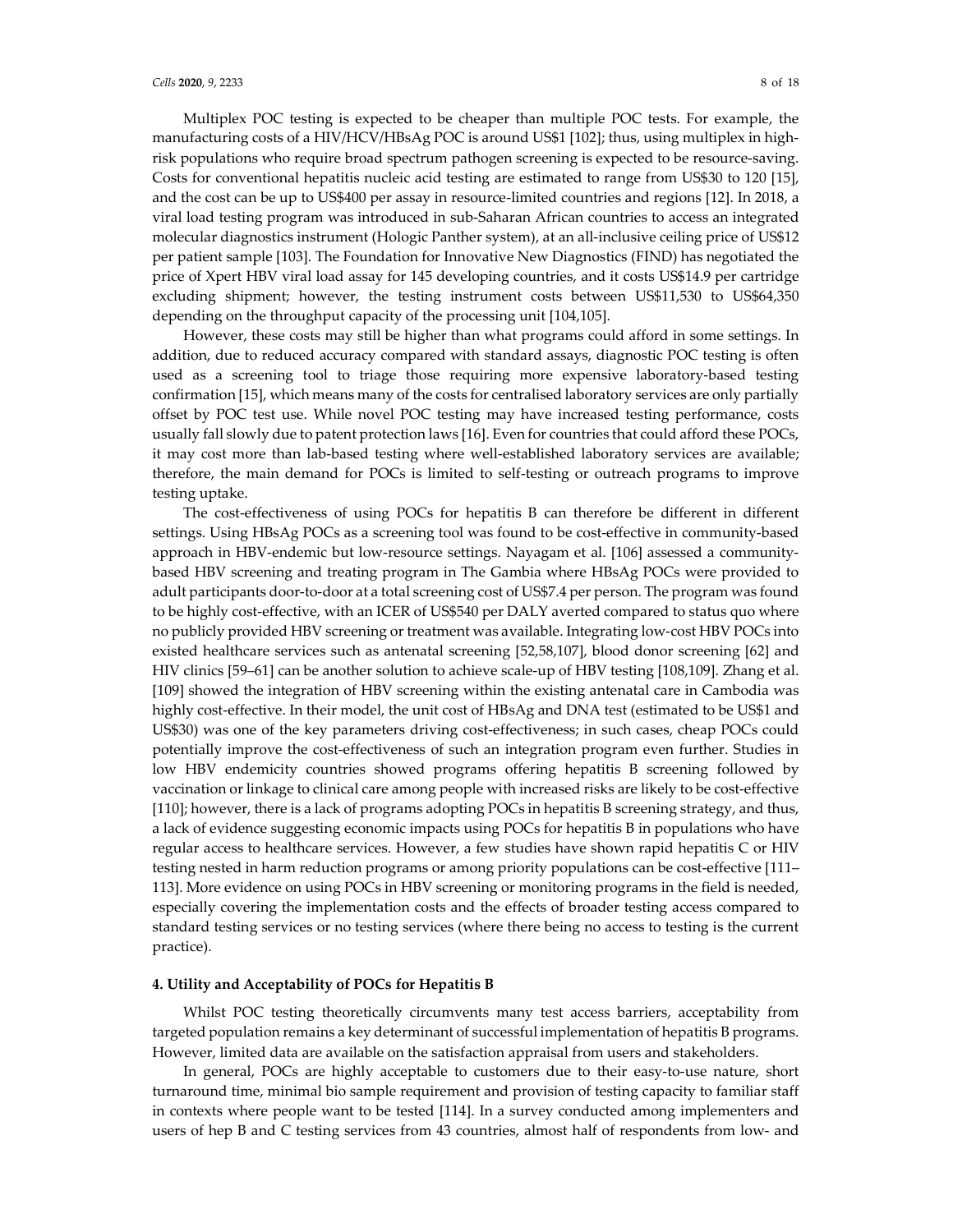Multiplex POC testing is expected to be cheaper than multiple POC tests. For example, the manufacturing costs of a HIV/HCV/HBsAg POC is around US\$1 [102]; thus, using multiplex in highrisk populations who require broad spectrum pathogen screening is expected to be resource-saving. Costs for conventional hepatitis nucleic acid testing are estimated to range from US\$30 to 120 [15], and the cost can be up to US\$400 per assay in resource-limited countries and regions [12]. In 2018, a viral load testing program was introduced in sub-Saharan African countries to access an integrated molecular diagnostics instrument (Hologic Panther system), at an all-inclusive ceiling price of US\$12 per patient sample [103]. The Foundation for Innovative New Diagnostics (FIND) has negotiated the price of Xpert HBV viral load assay for 145 developing countries, and it costs US\$14.9 per cartridge excluding shipment; however, the testing instrument costs between US\$11,530 to US\$64,350 depending on the throughput capacity of the processing unit [104,105].

However, these costs may still be higher than what programs could afford in some settings. In addition, due to reduced accuracy compared with standard assays, diagnostic POC testing is often used as a screening tool to triage those requiring more expensive laboratory-based testing confirmation [15], which means many of the costs for centralised laboratory services are only partially offset by POC test use. While novel POC testing may have increased testing performance, costs usually fall slowly due to patent protection laws [16]. Even for countries that could afford these POCs, it may cost more than lab-based testing where well-established laboratory services are available; therefore, the main demand for POCs is limited to self-testing or outreach programs to improve testing uptake.

The cost-effectiveness of using POCs for hepatitis B can therefore be different in different settings. Using HBsAg POCs as a screening tool was found to be cost-effective in community-based approach in HBV-endemic but low-resource settings. Nayagam et al. [106] assessed a communitybased HBV screening and treating program in The Gambia where HBsAg POCs were provided to adult participants door-to-door at a total screening cost of US\$7.4 per person. The program was found to be highly cost-effective, with an ICER of US\$540 per DALY averted compared to status quo where no publicly provided HBV screening or treatment was available. Integrating low-cost HBV POCs into existed healthcare services such as antenatal screening [52,58,107], blood donor screening [62] and HIV clinics [59–61] can be another solution to achieve scale-up of HBV testing [108,109]. Zhang et al. [109] showed the integration of HBV screening within the existing antenatal care in Cambodia was highly cost-effective. In their model, the unit cost of HBsAg and DNA test (estimated to be US\$1 and US\$30) was one of the key parameters driving cost-effectiveness; in such cases, cheap POCs could potentially improve the cost-effectiveness of such an integration program even further. Studies in low HBV endemicity countries showed programs offering hepatitis B screening followed by vaccination or linkage to clinical care among people with increased risks are likely to be cost-effective [110]; however, there is a lack of programs adopting POCs in hepatitis B screening strategy, and thus, a lack of evidence suggesting economic impacts using POCs for hepatitis B in populations who have regular access to healthcare services. However, a few studies have shown rapid hepatitis C or HIV testing nested in harm reduction programs or among priority populations can be cost-effective [111– 113]. More evidence on using POCs in HBV screening or monitoring programs in the field is needed, especially covering the implementation costs and the effects of broader testing access compared to standard testing services or no testing services (where there being no access to testing is the current practice).

#### **4. Utility and Acceptability of POCs for Hepatitis B**

Whilst POC testing theoretically circumvents many test access barriers, acceptability from targeted population remains a key determinant of successful implementation of hepatitis B programs. However, limited data are available on the satisfaction appraisal from users and stakeholders.

In general, POCs are highly acceptable to customers due to their easy-to-use nature, short turnaround time, minimal bio sample requirement and provision of testing capacity to familiar staff in contexts where people want to be tested [114]. In a survey conducted among implementers and users of hep B and C testing services from 43 countries, almost half of respondents from low- and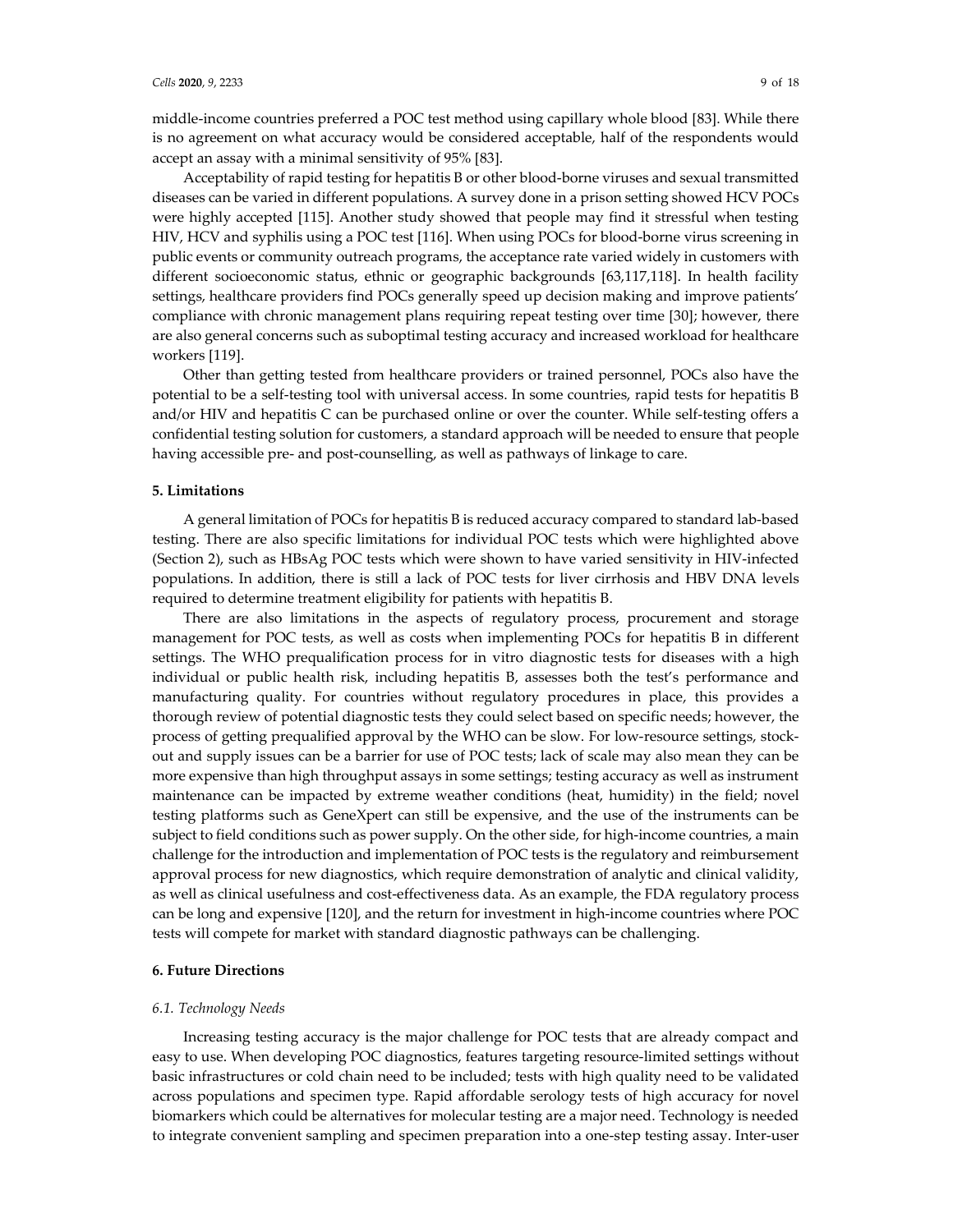middle-income countries preferred a POC test method using capillary whole blood [83]. While there is no agreement on what accuracy would be considered acceptable, half of the respondents would accept an assay with a minimal sensitivity of 95% [83].

Acceptability of rapid testing for hepatitis B or other blood-borne viruses and sexual transmitted diseases can be varied in different populations. A survey done in a prison setting showed HCV POCs were highly accepted [115]. Another study showed that people may find it stressful when testing HIV, HCV and syphilis using a POC test [116]. When using POCs for blood-borne virus screening in public events or community outreach programs, the acceptance rate varied widely in customers with different socioeconomic status, ethnic or geographic backgrounds [63,117,118]. In health facility settings, healthcare providers find POCs generally speed up decision making and improve patients' compliance with chronic management plans requiring repeat testing over time [30]; however, there are also general concerns such as suboptimal testing accuracy and increased workload for healthcare workers [119].

Other than getting tested from healthcare providers or trained personnel, POCs also have the potential to be a self-testing tool with universal access. In some countries, rapid tests for hepatitis B and/or HIV and hepatitis C can be purchased online or over the counter. While self-testing offers a confidential testing solution for customers, a standard approach will be needed to ensure that people having accessible pre- and post-counselling, as well as pathways of linkage to care.

#### **5. Limitations**

A general limitation of POCs for hepatitis B is reduced accuracy compared to standard lab-based testing. There are also specific limitations for individual POC tests which were highlighted above (Section 2), such as HBsAg POC tests which were shown to have varied sensitivity in HIV-infected populations. In addition, there is still a lack of POC tests for liver cirrhosis and HBV DNA levels required to determine treatment eligibility for patients with hepatitis B.

There are also limitations in the aspects of regulatory process, procurement and storage management for POC tests, as well as costs when implementing POCs for hepatitis B in different settings. The WHO prequalification process for in vitro diagnostic tests for diseases with a high individual or public health risk, including hepatitis B, assesses both the test's performance and manufacturing quality. For countries without regulatory procedures in place, this provides a thorough review of potential diagnostic tests they could select based on specific needs; however, the process of getting prequalified approval by the WHO can be slow. For low-resource settings, stockout and supply issues can be a barrier for use of POC tests; lack of scale may also mean they can be more expensive than high throughput assays in some settings; testing accuracy as well as instrument maintenance can be impacted by extreme weather conditions (heat, humidity) in the field; novel testing platforms such as GeneXpert can still be expensive, and the use of the instruments can be subject to field conditions such as power supply. On the other side, for high-income countries, a main challenge for the introduction and implementation of POC tests is the regulatory and reimbursement approval process for new diagnostics, which require demonstration of analytic and clinical validity, as well as clinical usefulness and cost-effectiveness data. As an example, the FDA regulatory process can be long and expensive [120], and the return for investment in high-income countries where POC tests will compete for market with standard diagnostic pathways can be challenging.

## **6. Future Directions**

#### *6.1. Technology Needs*

Increasing testing accuracy is the major challenge for POC tests that are already compact and easy to use. When developing POC diagnostics, features targeting resource-limited settings without basic infrastructures or cold chain need to be included; tests with high quality need to be validated across populations and specimen type. Rapid affordable serology tests of high accuracy for novel biomarkers which could be alternatives for molecular testing are a major need. Technology is needed to integrate convenient sampling and specimen preparation into a one-step testing assay. Inter-user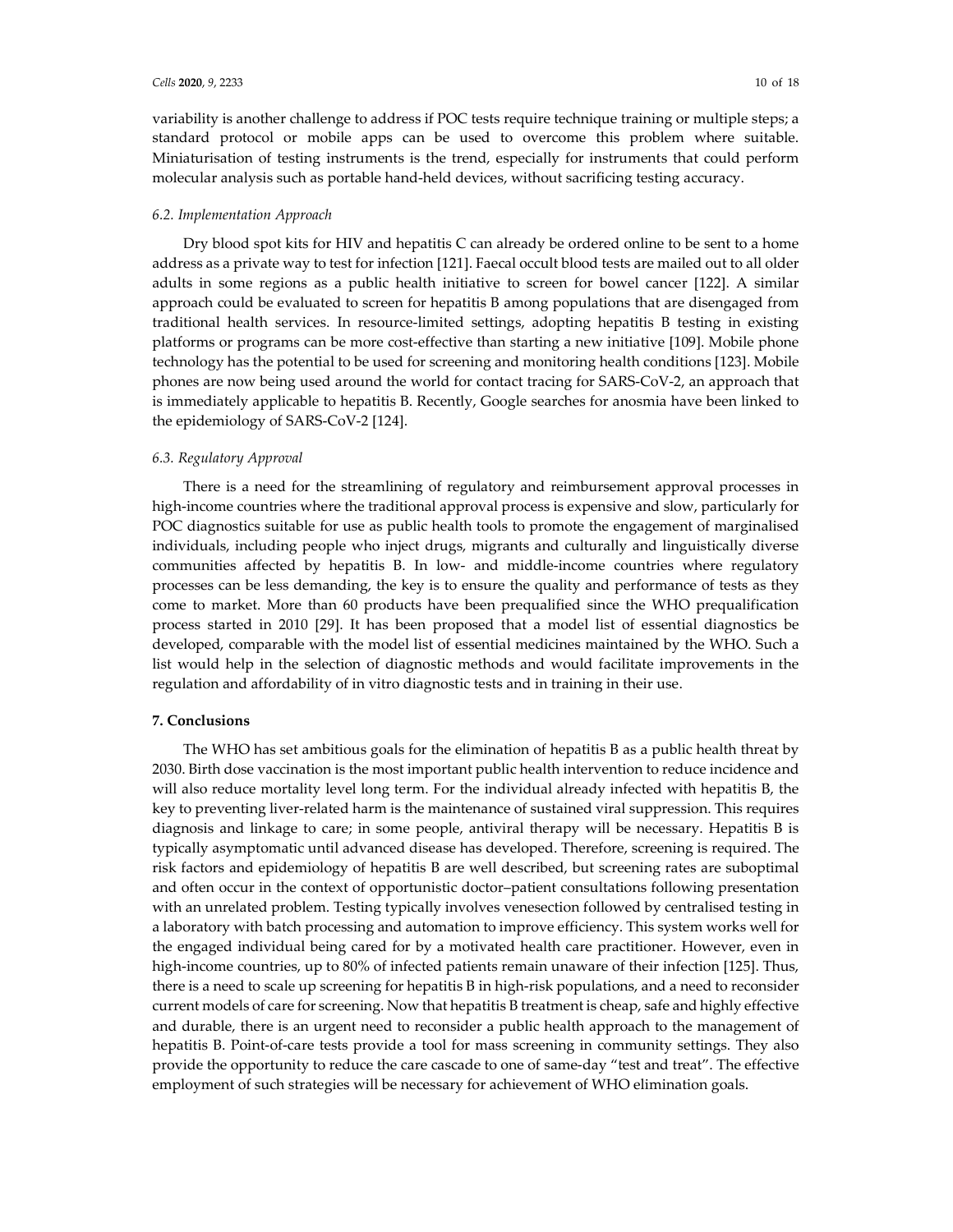variability is another challenge to address if POC tests require technique training or multiple steps; a standard protocol or mobile apps can be used to overcome this problem where suitable. Miniaturisation of testing instruments is the trend, especially for instruments that could perform molecular analysis such as portable hand-held devices, without sacrificing testing accuracy.

## *6.2. Implementation Approach*

Dry blood spot kits for HIV and hepatitis C can already be ordered online to be sent to a home address as a private way to test for infection [121]. Faecal occult blood tests are mailed out to all older adults in some regions as a public health initiative to screen for bowel cancer [122]. A similar approach could be evaluated to screen for hepatitis B among populations that are disengaged from traditional health services. In resource-limited settings, adopting hepatitis B testing in existing platforms or programs can be more cost-effective than starting a new initiative [109]. Mobile phone technology has the potential to be used for screening and monitoring health conditions [123]. Mobile phones are now being used around the world for contact tracing for SARS-CoV-2, an approach that is immediately applicable to hepatitis B. Recently, Google searches for anosmia have been linked to the epidemiology of SARS-CoV-2 [124].

#### *6.3. Regulatory Approval*

There is a need for the streamlining of regulatory and reimbursement approval processes in high-income countries where the traditional approval process is expensive and slow, particularly for POC diagnostics suitable for use as public health tools to promote the engagement of marginalised individuals, including people who inject drugs, migrants and culturally and linguistically diverse communities affected by hepatitis B. In low- and middle-income countries where regulatory processes can be less demanding, the key is to ensure the quality and performance of tests as they come to market. More than 60 products have been prequalified since the WHO prequalification process started in 2010 [29]. It has been proposed that a model list of essential diagnostics be developed, comparable with the model list of essential medicines maintained by the WHO. Such a list would help in the selection of diagnostic methods and would facilitate improvements in the regulation and affordability of in vitro diagnostic tests and in training in their use.

#### **7. Conclusions**

The WHO has set ambitious goals for the elimination of hepatitis B as a public health threat by 2030. Birth dose vaccination is the most important public health intervention to reduce incidence and will also reduce mortality level long term. For the individual already infected with hepatitis B, the key to preventing liver-related harm is the maintenance of sustained viral suppression. This requires diagnosis and linkage to care; in some people, antiviral therapy will be necessary. Hepatitis B is typically asymptomatic until advanced disease has developed. Therefore, screening is required. The risk factors and epidemiology of hepatitis B are well described, but screening rates are suboptimal and often occur in the context of opportunistic doctor–patient consultations following presentation with an unrelated problem. Testing typically involves venesection followed by centralised testing in a laboratory with batch processing and automation to improve efficiency. This system works well for the engaged individual being cared for by a motivated health care practitioner. However, even in high-income countries, up to 80% of infected patients remain unaware of their infection [125]. Thus, there is a need to scale up screening for hepatitis B in high-risk populations, and a need to reconsider current models of care for screening. Now that hepatitis B treatment is cheap, safe and highly effective and durable, there is an urgent need to reconsider a public health approach to the management of hepatitis B. Point-of-care tests provide a tool for mass screening in community settings. They also provide the opportunity to reduce the care cascade to one of same-day "test and treat". The effective employment of such strategies will be necessary for achievement of WHO elimination goals.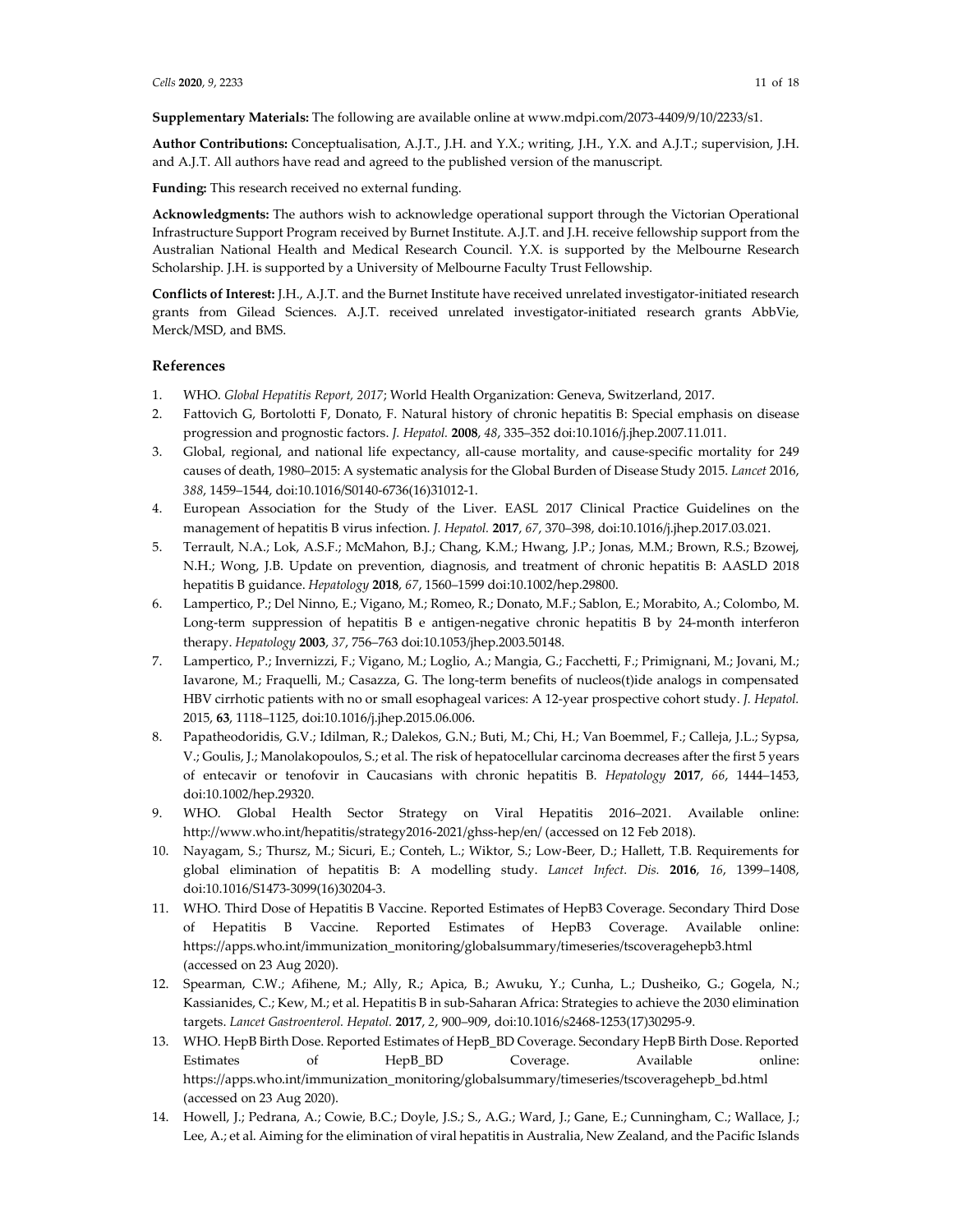**Supplementary Materials:** The following are available online at www.mdpi.com/2073-4409/9/10/2233/s1.

**Author Contributions:** Conceptualisation, A.J.T., J.H. and Y.X.; writing, J.H., Y.X. and A.J.T.; supervision, J.H. and A.J.T. All authors have read and agreed to the published version of the manuscript.

**Funding:** This research received no external funding.

**Acknowledgments:** The authors wish to acknowledge operational support through the Victorian Operational Infrastructure Support Program received by Burnet Institute. A.J.T. and J.H. receive fellowship support from the Australian National Health and Medical Research Council. Y.X. is supported by the Melbourne Research Scholarship. J.H. is supported by a University of Melbourne Faculty Trust Fellowship.

**Conflicts of Interest:** J.H., A.J.T. and the Burnet Institute have received unrelated investigator-initiated research grants from Gilead Sciences. A.J.T. received unrelated investigator-initiated research grants AbbVie, Merck/MSD, and BMS.

### **References**

- 1. WHO. *Global Hepatitis Report, 2017*; World Health Organization: Geneva, Switzerland, 2017.
- 2. Fattovich G, Bortolotti F, Donato, F. Natural history of chronic hepatitis B: Special emphasis on disease progression and prognostic factors. *J. Hepatol.* **2008**, *48*, 335–352 doi:10.1016/j.jhep.2007.11.011.
- 3. Global, regional, and national life expectancy, all-cause mortality, and cause-specific mortality for 249 causes of death, 1980–2015: A systematic analysis for the Global Burden of Disease Study 2015. *Lancet* 2016, *388*, 1459–1544, doi:10.1016/S0140-6736(16)31012-1.
- 4. European Association for the Study of the Liver. EASL 2017 Clinical Practice Guidelines on the management of hepatitis B virus infection. *J. Hepatol.* **2017**, *67*, 370–398, doi:10.1016/j.jhep.2017.03.021.
- 5. Terrault, N.A.; Lok, A.S.F.; McMahon, B.J.; Chang, K.M.; Hwang, J.P.; Jonas, M.M.; Brown, R.S.; Bzowej, N.H.; Wong, J.B. Update on prevention, diagnosis, and treatment of chronic hepatitis B: AASLD 2018 hepatitis B guidance. *Hepatology* **2018**, *67*, 1560–1599 doi:10.1002/hep.29800.
- 6. Lampertico, P.; Del Ninno, E.; Vigano, M.; Romeo, R.; Donato, M.F.; Sablon, E.; Morabito, A.; Colombo, M. Long-term suppression of hepatitis B e antigen-negative chronic hepatitis B by 24-month interferon therapy. *Hepatology* **2003**, *37*, 756–763 doi:10.1053/jhep.2003.50148.
- 7. Lampertico, P.; Invernizzi, F.; Vigano, M.; Loglio, A.; Mangia, G.; Facchetti, F.; Primignani, M.; Jovani, M.; Iavarone, M.; Fraquelli, M.; Casazza, G. The long-term benefits of nucleos(t)ide analogs in compensated HBV cirrhotic patients with no or small esophageal varices: A 12-year prospective cohort study. *J. Hepatol.* 2015, **63**, 1118–1125, doi:10.1016/j.jhep.2015.06.006.
- 8. Papatheodoridis, G.V.; Idilman, R.; Dalekos, G.N.; Buti, M.; Chi, H.; Van Boemmel, F.; Calleja, J.L.; Sypsa, V.; Goulis, J.; Manolakopoulos, S.; et al. The risk of hepatocellular carcinoma decreases after the first 5 years of entecavir or tenofovir in Caucasians with chronic hepatitis B. *Hepatology* **2017**, *66*, 1444–1453, doi:10.1002/hep.29320.
- 9. WHO. Global Health Sector Strategy on Viral Hepatitis 2016–2021. Available online: http://www.who.int/hepatitis/strategy2016-2021/ghss-hep/en/ (accessed on 12 Feb 2018).
- 10. Nayagam, S.; Thursz, M.; Sicuri, E.; Conteh, L.; Wiktor, S.; Low-Beer, D.; Hallett, T.B. Requirements for global elimination of hepatitis B: A modelling study. *Lancet Infect. Dis.* **2016**, *16*, 1399–1408, doi:10.1016/S1473-3099(16)30204-3.
- 11. WHO. Third Dose of Hepatitis B Vaccine. Reported Estimates of HepB3 Coverage. Secondary Third Dose of Hepatitis B Vaccine. Reported Estimates of HepB3 Coverage. Available online: https://apps.who.int/immunization\_monitoring/globalsummary/timeseries/tscoveragehepb3.html (accessed on 23 Aug 2020).
- 12. Spearman, C.W.; Afihene, M.; Ally, R.; Apica, B.; Awuku, Y.; Cunha, L.; Dusheiko, G.; Gogela, N.; Kassianides, C.; Kew, M.; et al. Hepatitis B in sub-Saharan Africa: Strategies to achieve the 2030 elimination targets. *Lancet Gastroenterol. Hepatol.* **2017**, *2*, 900–909, doi:10.1016/s2468-1253(17)30295-9.
- 13. WHO. HepB Birth Dose. Reported Estimates of HepB\_BD Coverage. Secondary HepB Birth Dose. Reported Estimates of HepB\_BD Coverage. Available online: https://apps.who.int/immunization\_monitoring/globalsummary/timeseries/tscoveragehepb\_bd.html (accessed on 23 Aug 2020).
- 14. Howell, J.; Pedrana, A.; Cowie, B.C.; Doyle, J.S.; S., A.G.; Ward, J.; Gane, E.; Cunningham, C.; Wallace, J.; Lee, A.; et al. Aiming for the elimination of viral hepatitis in Australia, New Zealand, and the Pacific Islands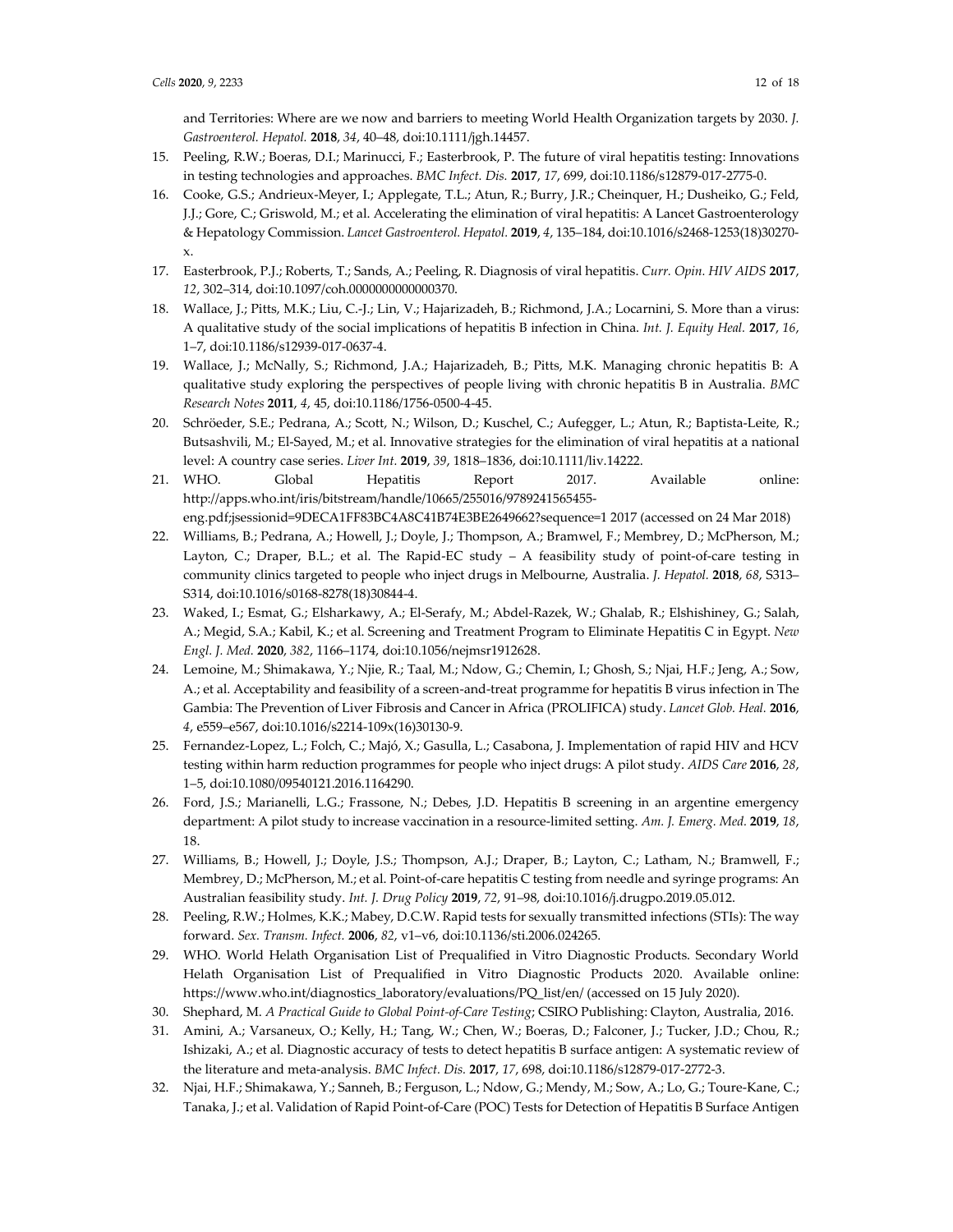and Territories: Where are we now and barriers to meeting World Health Organization targets by 2030. *J. Gastroenterol. Hepatol.* **2018**, *34*, 40–48, doi:10.1111/jgh.14457.

- 15. Peeling, R.W.; Boeras, D.I.; Marinucci, F.; Easterbrook, P. The future of viral hepatitis testing: Innovations in testing technologies and approaches. *BMC Infect. Dis.* **2017**, *17*, 699, doi:10.1186/s12879-017-2775-0.
- 16. Cooke, G.S.; Andrieux-Meyer, I.; Applegate, T.L.; Atun, R.; Burry, J.R.; Cheinquer, H.; Dusheiko, G.; Feld, J.J.; Gore, C.; Griswold, M.; et al. Accelerating the elimination of viral hepatitis: A Lancet Gastroenterology & Hepatology Commission. *Lancet Gastroenterol. Hepatol.* **2019**, *4*, 135–184, doi:10.1016/s2468-1253(18)30270 x.
- 17. Easterbrook, P.J.; Roberts, T.; Sands, A.; Peeling, R. Diagnosis of viral hepatitis. *Curr. Opin. HIV AIDS* **2017**, *12*, 302–314, doi:10.1097/coh.0000000000000370.
- 18. Wallace, J.; Pitts, M.K.; Liu, C.-J.; Lin, V.; Hajarizadeh, B.; Richmond, J.A.; Locarnini, S. More than a virus: A qualitative study of the social implications of hepatitis B infection in China. *Int. J. Equity Heal.* **2017**, *16*, 1–7, doi:10.1186/s12939-017-0637-4.
- 19. Wallace, J.; McNally, S.; Richmond, J.A.; Hajarizadeh, B.; Pitts, M.K. Managing chronic hepatitis B: A qualitative study exploring the perspectives of people living with chronic hepatitis B in Australia. *BMC Research Notes* **2011**, *4*, 45, doi:10.1186/1756-0500-4-45.
- 20. Schröeder, S.E.; Pedrana, A.; Scott, N.; Wilson, D.; Kuschel, C.; Aufegger, L.; Atun, R.; Baptista-Leite, R.; Butsashvili, M.; El-Sayed, M.; et al. Innovative strategies for the elimination of viral hepatitis at a national level: A country case series. *Liver Int.* **2019**, *39*, 1818–1836, doi:10.1111/liv.14222.
- 21. WHO. Global Hepatitis Report 2017. Available online: http://apps.who.int/iris/bitstream/handle/10665/255016/9789241565455 eng.pdf;jsessionid=9DECA1FF83BC4A8C41B74E3BE2649662?sequence=1 2017 (accessed on 24 Mar 2018)
- 22. Williams, B.; Pedrana, A.; Howell, J.; Doyle, J.; Thompson, A.; Bramwel, F.; Membrey, D.; McPherson, M.; Layton, C.; Draper, B.L.; et al. The Rapid-EC study – A feasibility study of point-of-care testing in community clinics targeted to people who inject drugs in Melbourne, Australia. *J. Hepatol.* **2018**, *68*, S313– S314, doi:10.1016/s0168-8278(18)30844-4.
- 23. Waked, I.; Esmat, G.; Elsharkawy, A.; El-Serafy, M.; Abdel-Razek, W.; Ghalab, R.; Elshishiney, G.; Salah, A.; Megid, S.A.; Kabil, K.; et al. Screening and Treatment Program to Eliminate Hepatitis C in Egypt. *New Engl. J. Med.* **2020**, *382*, 1166–1174, doi:10.1056/nejmsr1912628.
- 24. Lemoine, M.; Shimakawa, Y.; Njie, R.; Taal, M.; Ndow, G.; Chemin, I.; Ghosh, S.; Njai, H.F.; Jeng, A.; Sow, A.; et al. Acceptability and feasibility of a screen-and-treat programme for hepatitis B virus infection in The Gambia: The Prevention of Liver Fibrosis and Cancer in Africa (PROLIFICA) study. *Lancet Glob. Heal.* **2016**, *4*, e559–e567, doi:10.1016/s2214-109x(16)30130-9.
- 25. Fernandez-Lopez, L.; Folch, C.; Majó, X.; Gasulla, L.; Casabona, J. Implementation of rapid HIV and HCV testing within harm reduction programmes for people who inject drugs: A pilot study. *AIDS Care* **2016**, *28*, 1–5, doi:10.1080/09540121.2016.1164290.
- 26. Ford, J.S.; Marianelli, L.G.; Frassone, N.; Debes, J.D. Hepatitis B screening in an argentine emergency department: A pilot study to increase vaccination in a resource-limited setting. *Am. J. Emerg. Med.* **2019**, *18*, 18.
- 27. Williams, B.; Howell, J.; Doyle, J.S.; Thompson, A.J.; Draper, B.; Layton, C.; Latham, N.; Bramwell, F.; Membrey, D.; McPherson, M.; et al. Point-of-care hepatitis C testing from needle and syringe programs: An Australian feasibility study. *Int. J. Drug Policy* **2019**, *72*, 91–98, doi:10.1016/j.drugpo.2019.05.012.
- 28. Peeling, R.W.; Holmes, K.K.; Mabey, D.C.W. Rapid tests for sexually transmitted infections (STIs): The way forward. *Sex. Transm. Infect.* **2006**, *82*, v1–v6, doi:10.1136/sti.2006.024265.
- 29. WHO. World Helath Organisation List of Prequalified in Vitro Diagnostic Products. Secondary World Helath Organisation List of Prequalified in Vitro Diagnostic Products 2020. Available online: https://www.who.int/diagnostics\_laboratory/evaluations/PQ\_list/en/ (accessed on 15 July 2020).
- 30. Shephard, M. *A Practical Guide to Global Point-of-Care Testing*; CSIRO Publishing: Clayton, Australia, 2016.
- 31. Amini, A.; Varsaneux, O.; Kelly, H.; Tang, W.; Chen, W.; Boeras, D.; Falconer, J.; Tucker, J.D.; Chou, R.; Ishizaki, A.; et al. Diagnostic accuracy of tests to detect hepatitis B surface antigen: A systematic review of the literature and meta-analysis. *BMC Infect. Dis.* **2017**, *17*, 698, doi:10.1186/s12879-017-2772-3.
- 32. Njai, H.F.; Shimakawa, Y.; Sanneh, B.; Ferguson, L.; Ndow, G.; Mendy, M.; Sow, A.; Lo, G.; Toure-Kane, C.; Tanaka, J.; et al. Validation of Rapid Point-of-Care (POC) Tests for Detection of Hepatitis B Surface Antigen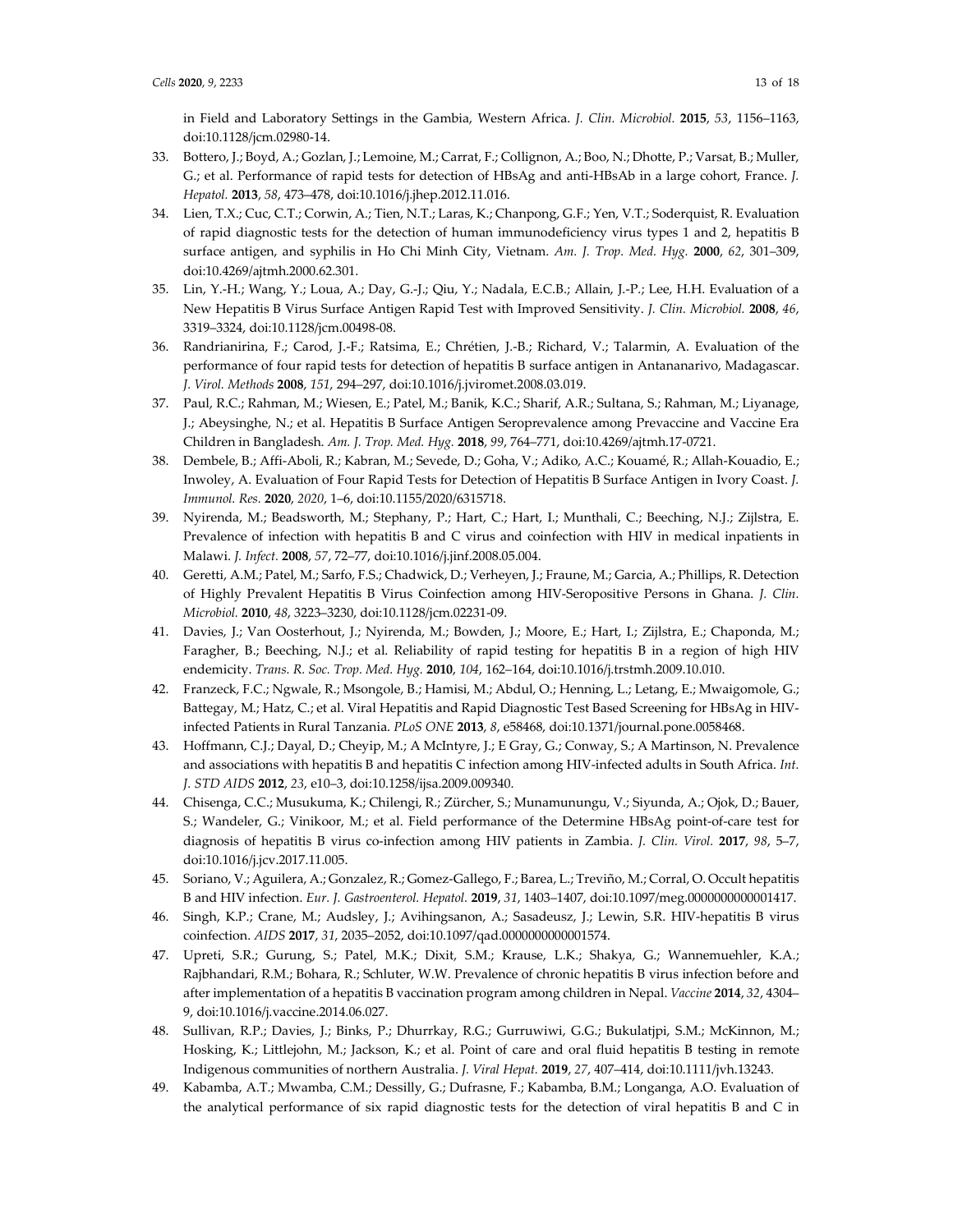in Field and Laboratory Settings in the Gambia, Western Africa. *J. Clin. Microbiol.* **2015**, *53*, 1156–1163, doi:10.1128/jcm.02980-14.

- 33. Bottero, J.; Boyd, A.; Gozlan, J.; Lemoine, M.; Carrat, F.; Collignon, A.; Boo, N.; Dhotte, P.; Varsat, B.; Muller, G.; et al. Performance of rapid tests for detection of HBsAg and anti-HBsAb in a large cohort, France. *J. Hepatol.* **2013**, *58*, 473–478, doi:10.1016/j.jhep.2012.11.016.
- 34. Lien, T.X.; Cuc, C.T.; Corwin, A.; Tien, N.T.; Laras, K.; Chanpong, G.F.; Yen, V.T.; Soderquist, R. Evaluation of rapid diagnostic tests for the detection of human immunodeficiency virus types 1 and 2, hepatitis B surface antigen, and syphilis in Ho Chi Minh City, Vietnam. *Am. J. Trop. Med. Hyg.* **2000**, *62*, 301–309, doi:10.4269/ajtmh.2000.62.301.
- 35. Lin, Y.-H.; Wang, Y.; Loua, A.; Day, G.-J.; Qiu, Y.; Nadala, E.C.B.; Allain, J.-P.; Lee, H.H. Evaluation of a New Hepatitis B Virus Surface Antigen Rapid Test with Improved Sensitivity. *J. Clin. Microbiol.* **2008**, *46*, 3319–3324, doi:10.1128/jcm.00498-08.
- 36. Randrianirina, F.; Carod, J.-F.; Ratsima, E.; Chrétien, J.-B.; Richard, V.; Talarmin, A. Evaluation of the performance of four rapid tests for detection of hepatitis B surface antigen in Antananarivo, Madagascar. *J. Virol. Methods* **2008**, *151*, 294–297, doi:10.1016/j.jviromet.2008.03.019.
- 37. Paul, R.C.; Rahman, M.; Wiesen, E.; Patel, M.; Banik, K.C.; Sharif, A.R.; Sultana, S.; Rahman, M.; Liyanage, J.; Abeysinghe, N.; et al. Hepatitis B Surface Antigen Seroprevalence among Prevaccine and Vaccine Era Children in Bangladesh. *Am. J. Trop. Med. Hyg.* **2018**, *99*, 764–771, doi:10.4269/ajtmh.17-0721.
- 38. Dembele, B.; Affi-Aboli, R.; Kabran, M.; Sevede, D.; Goha, V.; Adiko, A.C.; Kouamé, R.; Allah-Kouadio, E.; Inwoley, A. Evaluation of Four Rapid Tests for Detection of Hepatitis B Surface Antigen in Ivory Coast. *J. Immunol. Res.* **2020**, *2020*, 1–6, doi:10.1155/2020/6315718.
- 39. Nyirenda, M.; Beadsworth, M.; Stephany, P.; Hart, C.; Hart, I.; Munthali, C.; Beeching, N.J.; Zijlstra, E. Prevalence of infection with hepatitis B and C virus and coinfection with HIV in medical inpatients in Malawi. *J. Infect.* **2008**, *57*, 72–77, doi:10.1016/j.jinf.2008.05.004.
- 40. Geretti, A.M.; Patel, M.; Sarfo, F.S.; Chadwick, D.; Verheyen, J.; Fraune, M.; Garcia, A.; Phillips, R. Detection of Highly Prevalent Hepatitis B Virus Coinfection among HIV-Seropositive Persons in Ghana. *J. Clin. Microbiol.* **2010**, *48*, 3223–3230, doi:10.1128/jcm.02231-09.
- 41. Davies, J.; Van Oosterhout, J.; Nyirenda, M.; Bowden, J.; Moore, E.; Hart, I.; Zijlstra, E.; Chaponda, M.; Faragher, B.; Beeching, N.J.; et al. Reliability of rapid testing for hepatitis B in a region of high HIV endemicity. *Trans. R. Soc. Trop. Med. Hyg.* **2010**, *104*, 162–164, doi:10.1016/j.trstmh.2009.10.010.
- 42. Franzeck, F.C.; Ngwale, R.; Msongole, B.; Hamisi, M.; Abdul, O.; Henning, L.; Letang, E.; Mwaigomole, G.; Battegay, M.; Hatz, C.; et al. Viral Hepatitis and Rapid Diagnostic Test Based Screening for HBsAg in HIVinfected Patients in Rural Tanzania. *PLoS ONE* **2013**, *8*, e58468, doi:10.1371/journal.pone.0058468.
- 43. Hoffmann, C.J.; Dayal, D.; Cheyip, M.; A McIntyre, J.; E Gray, G.; Conway, S.; A Martinson, N. Prevalence and associations with hepatitis B and hepatitis C infection among HIV-infected adults in South Africa. *Int. J. STD AIDS* **2012**, *23*, e10–3, doi:10.1258/ijsa.2009.009340.
- 44. Chisenga, C.C.; Musukuma, K.; Chilengi, R.; Zürcher, S.; Munamunungu, V.; Siyunda, A.; Ojok, D.; Bauer, S.; Wandeler, G.; Vinikoor, M.; et al. Field performance of the Determine HBsAg point-of-care test for diagnosis of hepatitis B virus co-infection among HIV patients in Zambia. *J. Clin. Virol.* **2017**, *98*, 5–7, doi:10.1016/j.jcv.2017.11.005.
- 45. Soriano, V.; Aguilera, A.; Gonzalez, R.; Gomez-Gallego, F.; Barea, L.; Treviño, M.; Corral, O. Occult hepatitis B and HIV infection. *Eur. J. Gastroenterol. Hepatol.* **2019**, *31*, 1403–1407, doi:10.1097/meg.0000000000001417.
- 46. Singh, K.P.; Crane, M.; Audsley, J.; Avihingsanon, A.; Sasadeusz, J.; Lewin, S.R. HIV-hepatitis B virus coinfection. *AIDS* **2017**, *31*, 2035–2052, doi:10.1097/qad.0000000000001574.
- 47. Upreti, S.R.; Gurung, S.; Patel, M.K.; Dixit, S.M.; Krause, L.K.; Shakya, G.; Wannemuehler, K.A.; Rajbhandari, R.M.; Bohara, R.; Schluter, W.W. Prevalence of chronic hepatitis B virus infection before and after implementation of a hepatitis B vaccination program among children in Nepal. *Vaccine* **2014**, *32*, 4304– 9, doi:10.1016/j.vaccine.2014.06.027.
- 48. Sullivan, R.P.; Davies, J.; Binks, P.; Dhurrkay, R.G.; Gurruwiwi, G.G.; Bukulatjpi, S.M.; McKinnon, M.; Hosking, K.; Littlejohn, M.; Jackson, K.; et al. Point of care and oral fluid hepatitis B testing in remote Indigenous communities of northern Australia. *J. Viral Hepat.* **2019**, *27*, 407–414, doi:10.1111/jvh.13243.
- 49. Kabamba, A.T.; Mwamba, C.M.; Dessilly, G.; Dufrasne, F.; Kabamba, B.M.; Longanga, A.O. Evaluation of the analytical performance of six rapid diagnostic tests for the detection of viral hepatitis B and C in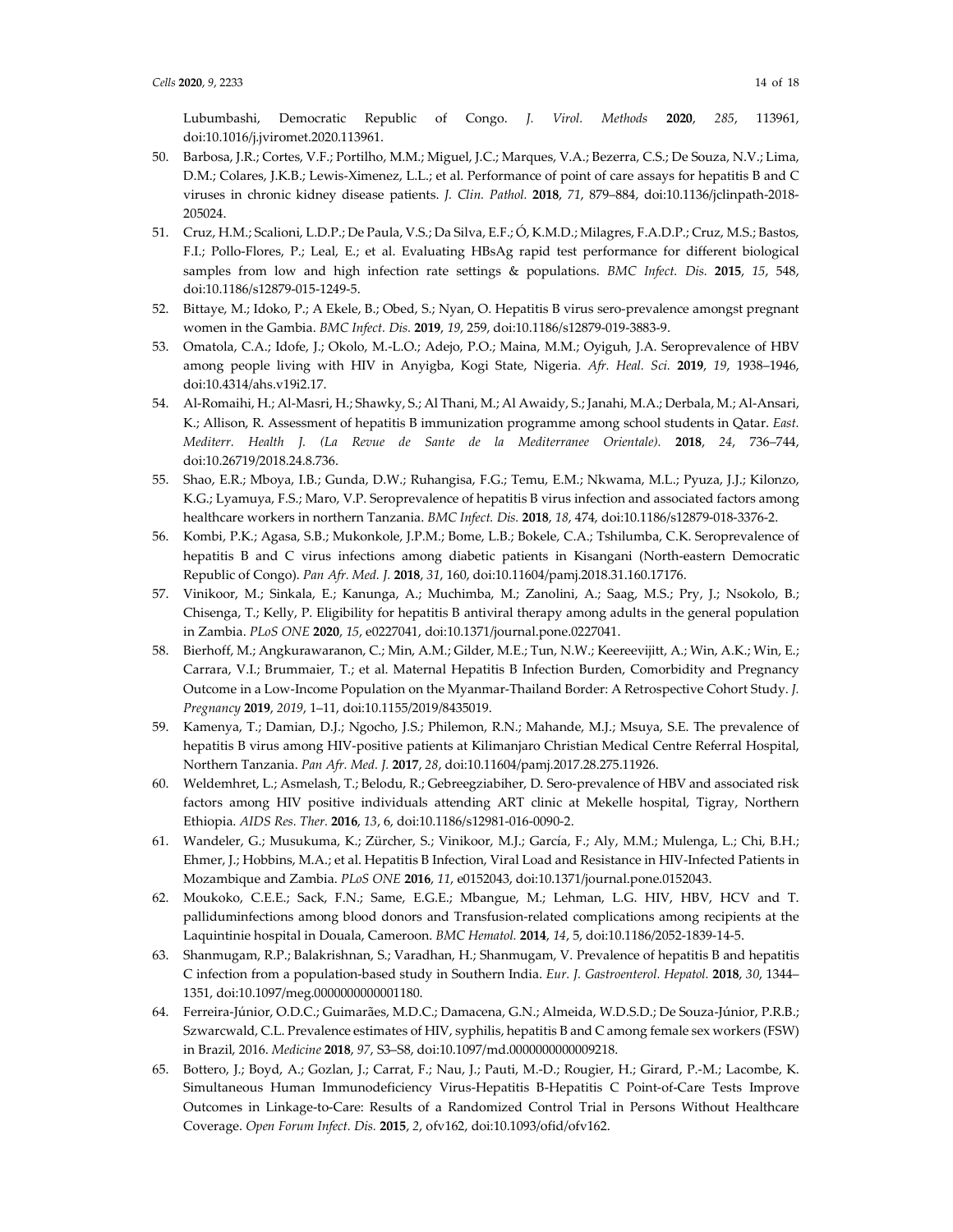Lubumbashi, Democratic Republic of Congo. *J. Virol. Methods* **2020**, *285*, 113961, doi:10.1016/j.jviromet.2020.113961.

- 50. Barbosa, J.R.; Cortes, V.F.; Portilho, M.M.; Miguel, J.C.; Marques, V.A.; Bezerra, C.S.; De Souza, N.V.; Lima, D.M.; Colares, J.K.B.; Lewis-Ximenez, L.L.; et al. Performance of point of care assays for hepatitis B and C viruses in chronic kidney disease patients. *J. Clin. Pathol.* **2018**, *71*, 879–884, doi:10.1136/jclinpath-2018- 205024.
- 51. Cruz, H.M.; Scalioni, L.D.P.; De Paula, V.S.; Da Silva, E.F.; Ó, K.M.D.; Milagres, F.A.D.P.; Cruz, M.S.; Bastos, F.I.; Pollo-Flores, P.; Leal, E.; et al. Evaluating HBsAg rapid test performance for different biological samples from low and high infection rate settings & populations. *BMC Infect. Dis.* **2015**, *15*, 548, doi:10.1186/s12879-015-1249-5.
- 52. Bittaye, M.; Idoko, P.; A Ekele, B.; Obed, S.; Nyan, O. Hepatitis B virus sero-prevalence amongst pregnant women in the Gambia. *BMC Infect. Dis.* **2019**, *19*, 259, doi:10.1186/s12879-019-3883-9.
- 53. Omatola, C.A.; Idofe, J.; Okolo, M.-L.O.; Adejo, P.O.; Maina, M.M.; Oyiguh, J.A. Seroprevalence of HBV among people living with HIV in Anyigba, Kogi State, Nigeria. *Afr. Heal. Sci.* **2019**, *19*, 1938–1946, doi:10.4314/ahs.v19i2.17.
- 54. Al-Romaihi, H.; Al-Masri, H.; Shawky, S.; Al Thani, M.; Al Awaidy, S.; Janahi, M.A.; Derbala, M.; Al-Ansari, K.; Allison, R. Assessment of hepatitis B immunization programme among school students in Qatar. *East. Mediterr. Health J. (La Revue de Sante de la Mediterranee Orientale).* **2018**, *24*, 736–744, doi:10.26719/2018.24.8.736.
- 55. Shao, E.R.; Mboya, I.B.; Gunda, D.W.; Ruhangisa, F.G.; Temu, E.M.; Nkwama, M.L.; Pyuza, J.J.; Kilonzo, K.G.; Lyamuya, F.S.; Maro, V.P. Seroprevalence of hepatitis B virus infection and associated factors among healthcare workers in northern Tanzania. *BMC Infect. Dis.* **2018**, *18*, 474, doi:10.1186/s12879-018-3376-2.
- 56. Kombi, P.K.; Agasa, S.B.; Mukonkole, J.P.M.; Bome, L.B.; Bokele, C.A.; Tshilumba, C.K. Seroprevalence of hepatitis B and C virus infections among diabetic patients in Kisangani (North-eastern Democratic Republic of Congo). *Pan Afr. Med. J.* **2018**, *31*, 160, doi:10.11604/pamj.2018.31.160.17176.
- 57. Vinikoor, M.; Sinkala, E.; Kanunga, A.; Muchimba, M.; Zanolini, A.; Saag, M.S.; Pry, J.; Nsokolo, B.; Chisenga, T.; Kelly, P. Eligibility for hepatitis B antiviral therapy among adults in the general population in Zambia. *PLoS ONE* **2020**, *15*, e0227041, doi:10.1371/journal.pone.0227041.
- 58. Bierhoff, M.; Angkurawaranon, C.; Min, A.M.; Gilder, M.E.; Tun, N.W.; Keereevijitt, A.; Win, A.K.; Win, E.; Carrara, V.I.; Brummaier, T.; et al. Maternal Hepatitis B Infection Burden, Comorbidity and Pregnancy Outcome in a Low-Income Population on the Myanmar-Thailand Border: A Retrospective Cohort Study. *J. Pregnancy* **2019**, *2019*, 1–11, doi:10.1155/2019/8435019.
- 59. Kamenya, T.; Damian, D.J.; Ngocho, J.S.; Philemon, R.N.; Mahande, M.J.; Msuya, S.E. The prevalence of hepatitis B virus among HIV-positive patients at Kilimanjaro Christian Medical Centre Referral Hospital, Northern Tanzania. *Pan Afr. Med. J.* **2017**, *28*, doi:10.11604/pamj.2017.28.275.11926.
- 60. Weldemhret, L.; Asmelash, T.; Belodu, R.; Gebreegziabiher, D. Sero-prevalence of HBV and associated risk factors among HIV positive individuals attending ART clinic at Mekelle hospital, Tigray, Northern Ethiopia. *AIDS Res. Ther.* **2016**, *13*, 6, doi:10.1186/s12981-016-0090-2.
- 61. Wandeler, G.; Musukuma, K.; Zürcher, S.; Vinikoor, M.J.; García, F.; Aly, M.M.; Mulenga, L.; Chi, B.H.; Ehmer, J.; Hobbins, M.A.; et al. Hepatitis B Infection, Viral Load and Resistance in HIV-Infected Patients in Mozambique and Zambia. *PLoS ONE* **2016**, *11*, e0152043, doi:10.1371/journal.pone.0152043.
- 62. Moukoko, C.E.E.; Sack, F.N.; Same, E.G.E.; Mbangue, M.; Lehman, L.G. HIV, HBV, HCV and T. palliduminfections among blood donors and Transfusion-related complications among recipients at the Laquintinie hospital in Douala, Cameroon. *BMC Hematol.* **2014**, *14*, 5, doi:10.1186/2052-1839-14-5.
- 63. Shanmugam, R.P.; Balakrishnan, S.; Varadhan, H.; Shanmugam, V. Prevalence of hepatitis B and hepatitis C infection from a population-based study in Southern India. *Eur. J. Gastroenterol. Hepatol.* **2018**, *30*, 1344– 1351, doi:10.1097/meg.0000000000001180.
- 64. Ferreira-Júnior, O.D.C.; Guimarães, M.D.C.; Damacena, G.N.; Almeida, W.D.S.D.; De Souza-Júnior, P.R.B.; Szwarcwald, C.L. Prevalence estimates of HIV, syphilis, hepatitis B and C among female sex workers (FSW) in Brazil, 2016. *Medicine* **2018**, *97*, S3–S8, doi:10.1097/md.0000000000009218.
- 65. Bottero, J.; Boyd, A.; Gozlan, J.; Carrat, F.; Nau, J.; Pauti, M.-D.; Rougier, H.; Girard, P.-M.; Lacombe, K. Simultaneous Human Immunodeficiency Virus-Hepatitis B-Hepatitis C Point-of-Care Tests Improve Outcomes in Linkage-to-Care: Results of a Randomized Control Trial in Persons Without Healthcare Coverage. *Open Forum Infect. Dis.* **2015**, *2*, ofv162, doi:10.1093/ofid/ofv162.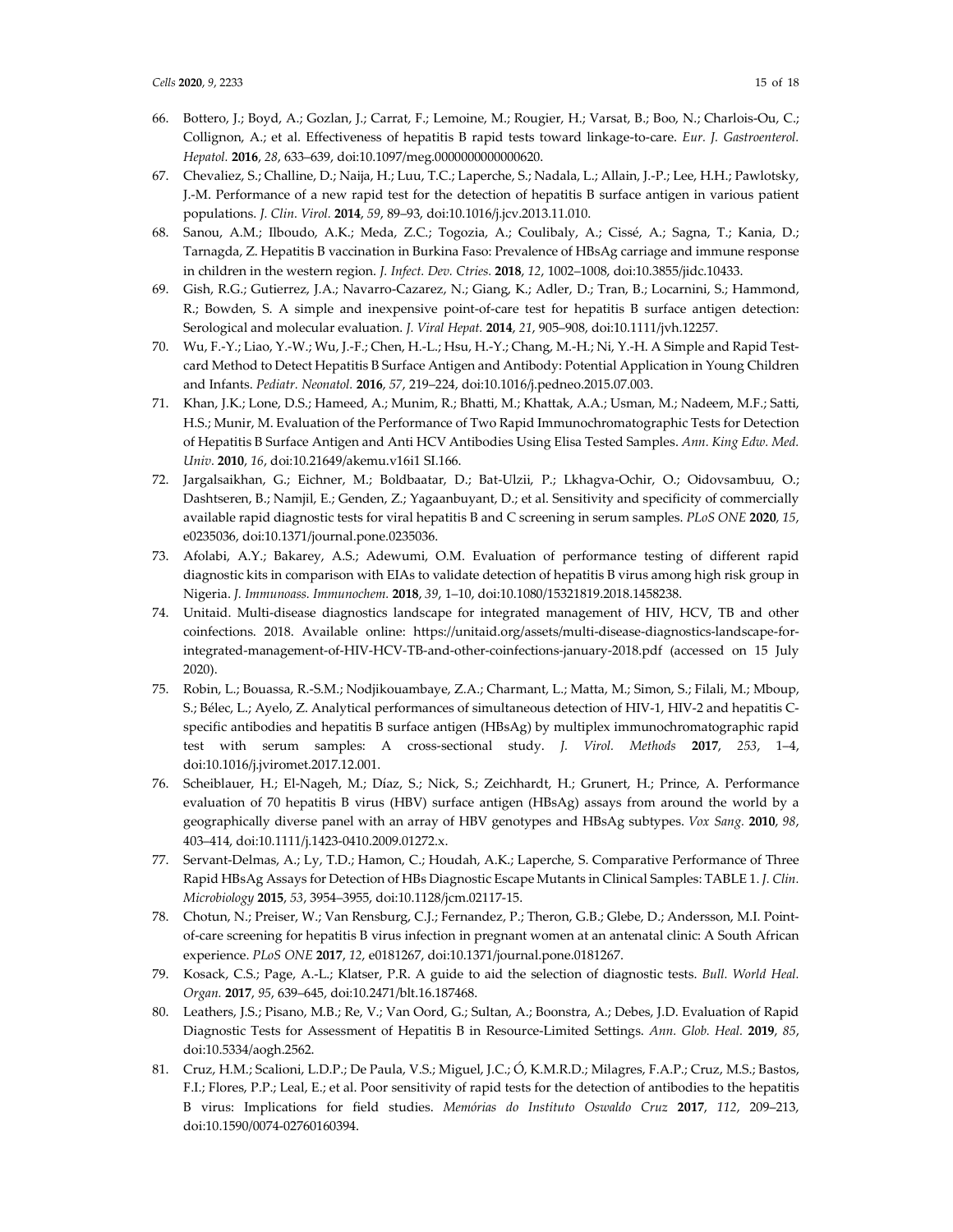- 66. Bottero, J.; Boyd, A.; Gozlan, J.; Carrat, F.; Lemoine, M.; Rougier, H.; Varsat, B.; Boo, N.; Charlois-Ou, C.; Collignon, A.; et al. Effectiveness of hepatitis B rapid tests toward linkage-to-care. *Eur. J. Gastroenterol. Hepatol.* **2016**, *28*, 633–639, doi:10.1097/meg.0000000000000620.
- 67. Chevaliez, S.; Challine, D.; Naija, H.; Luu, T.C.; Laperche, S.; Nadala, L.; Allain, J.-P.; Lee, H.H.; Pawlotsky, J.-M. Performance of a new rapid test for the detection of hepatitis B surface antigen in various patient populations. *J. Clin. Virol.* **2014**, *59*, 89–93, doi:10.1016/j.jcv.2013.11.010.
- 68. Sanou, A.M.; Ilboudo, A.K.; Meda, Z.C.; Togozia, A.; Coulibaly, A.; Cissé, A.; Sagna, T.; Kania, D.; Tarnagda, Z. Hepatitis B vaccination in Burkina Faso: Prevalence of HBsAg carriage and immune response in children in the western region. *J. Infect. Dev. Ctries.* **2018**, *12*, 1002–1008, doi:10.3855/jidc.10433.
- 69. Gish, R.G.; Gutierrez, J.A.; Navarro-Cazarez, N.; Giang, K.; Adler, D.; Tran, B.; Locarnini, S.; Hammond, R.; Bowden, S. A simple and inexpensive point-of-care test for hepatitis B surface antigen detection: Serological and molecular evaluation. *J. Viral Hepat.* **2014**, *21*, 905–908, doi:10.1111/jvh.12257.
- 70. Wu, F.-Y.; Liao, Y.-W.; Wu, J.-F.; Chen, H.-L.; Hsu, H.-Y.; Chang, M.-H.; Ni, Y.-H. A Simple and Rapid Testcard Method to Detect Hepatitis B Surface Antigen and Antibody: Potential Application in Young Children and Infants. *Pediatr. Neonatol.* **2016**, *57*, 219–224, doi:10.1016/j.pedneo.2015.07.003.
- 71. Khan, J.K.; Lone, D.S.; Hameed, A.; Munim, R.; Bhatti, M.; Khattak, A.A.; Usman, M.; Nadeem, M.F.; Satti, H.S.; Munir, M. Evaluation of the Performance of Two Rapid Immunochromatographic Tests for Detection of Hepatitis B Surface Antigen and Anti HCV Antibodies Using Elisa Tested Samples. *Ann. King Edw. Med. Univ.* **2010**, *16*, doi:10.21649/akemu.v16i1 SI.166.
- 72. Jargalsaikhan, G.; Eichner, M.; Boldbaatar, D.; Bat-Ulzii, P.; Lkhagva-Ochir, O.; Oidovsambuu, O.; Dashtseren, B.; Namjil, E.; Genden, Z.; Yagaanbuyant, D.; et al. Sensitivity and specificity of commercially available rapid diagnostic tests for viral hepatitis B and C screening in serum samples. *PLoS ONE* **2020**, *15*, e0235036, doi:10.1371/journal.pone.0235036.
- 73. Afolabi, A.Y.; Bakarey, A.S.; Adewumi, O.M. Evaluation of performance testing of different rapid diagnostic kits in comparison with EIAs to validate detection of hepatitis B virus among high risk group in Nigeria. *J. Immunoass. Immunochem.* **2018**, *39*, 1–10, doi:10.1080/15321819.2018.1458238.
- 74. Unitaid. Multi-disease diagnostics landscape for integrated management of HIV, HCV, TB and other coinfections. 2018. Available online: https://unitaid.org/assets/multi-disease-diagnostics-landscape-forintegrated-management-of-HIV-HCV-TB-and-other-coinfections-january-2018.pdf (accessed on 15 July 2020).
- 75. Robin, L.; Bouassa, R.-S.M.; Nodjikouambaye, Z.A.; Charmant, L.; Matta, M.; Simon, S.; Filali, M.; Mboup, S.; Bélec, L.; Ayelo, Z. Analytical performances of simultaneous detection of HIV-1, HIV-2 and hepatitis Cspecific antibodies and hepatitis B surface antigen (HBsAg) by multiplex immunochromatographic rapid test with serum samples: A cross-sectional study. *J. Virol. Methods* **2017**, *253*, 1–4, doi:10.1016/j.jviromet.2017.12.001.
- 76. Scheiblauer, H.; El-Nageh, M.; Díaz, S.; Nick, S.; Zeichhardt, H.; Grunert, H.; Prince, A. Performance evaluation of 70 hepatitis B virus (HBV) surface antigen (HBsAg) assays from around the world by a geographically diverse panel with an array of HBV genotypes and HBsAg subtypes. *Vox Sang.* **2010**, *98*, 403–414, doi:10.1111/j.1423-0410.2009.01272.x.
- 77. Servant-Delmas, A.; Ly, T.D.; Hamon, C.; Houdah, A.K.; Laperche, S. Comparative Performance of Three Rapid HBsAg Assays for Detection of HBs Diagnostic Escape Mutants in Clinical Samples: TABLE 1. *J. Clin. Microbiology* **2015**, *53*, 3954–3955, doi:10.1128/jcm.02117-15.
- 78. Chotun, N.; Preiser, W.; Van Rensburg, C.J.; Fernandez, P.; Theron, G.B.; Glebe, D.; Andersson, M.I. Pointof-care screening for hepatitis B virus infection in pregnant women at an antenatal clinic: A South African experience. *PLoS ONE* **2017**, *12*, e0181267, doi:10.1371/journal.pone.0181267.
- 79. Kosack, C.S.; Page, A.-L.; Klatser, P.R. A guide to aid the selection of diagnostic tests. *Bull. World Heal. Organ.* **2017**, *95*, 639–645, doi:10.2471/blt.16.187468.
- 80. Leathers, J.S.; Pisano, M.B.; Re, V.; Van Oord, G.; Sultan, A.; Boonstra, A.; Debes, J.D. Evaluation of Rapid Diagnostic Tests for Assessment of Hepatitis B in Resource-Limited Settings. *Ann. Glob. Heal.* **2019**, *85*, doi:10.5334/aogh.2562.
- 81. Cruz, H.M.; Scalioni, L.D.P.; De Paula, V.S.; Miguel, J.C.; Ó, K.M.R.D.; Milagres, F.A.P.; Cruz, M.S.; Bastos, F.I.; Flores, P.P.; Leal, E.; et al. Poor sensitivity of rapid tests for the detection of antibodies to the hepatitis B virus: Implications for field studies. *Memórias do Instituto Oswaldo Cruz* **2017**, *112*, 209–213, doi:10.1590/0074-02760160394.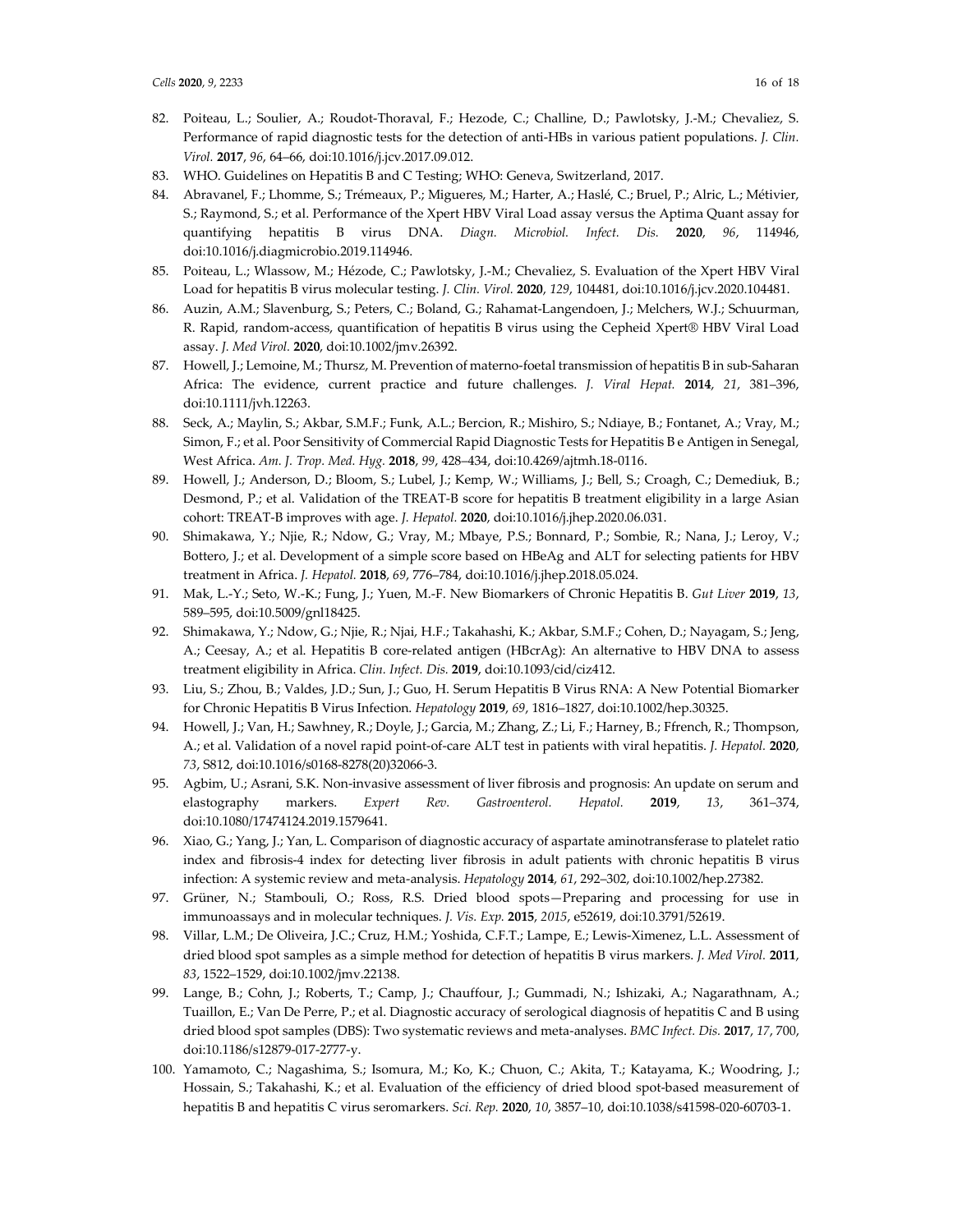- 82. Poiteau, L.; Soulier, A.; Roudot-Thoraval, F.; Hezode, C.; Challine, D.; Pawlotsky, J.-M.; Chevaliez, S. Performance of rapid diagnostic tests for the detection of anti-HBs in various patient populations. *J. Clin. Virol.* **2017**, *96*, 64–66, doi:10.1016/j.jcv.2017.09.012.
- 83. WHO. Guidelines on Hepatitis B and C Testing; WHO: Geneva, Switzerland, 2017.
- 84. Abravanel, F.; Lhomme, S.; Trémeaux, P.; Migueres, M.; Harter, A.; Haslé, C.; Bruel, P.; Alric, L.; Métivier, S.; Raymond, S.; et al. Performance of the Xpert HBV Viral Load assay versus the Aptima Quant assay for quantifying hepatitis B virus DNA. *Diagn. Microbiol. Infect. Dis.* **2020**, *96*, 114946, doi:10.1016/j.diagmicrobio.2019.114946.
- 85. Poiteau, L.; Wlassow, M.; Hézode, C.; Pawlotsky, J.-M.; Chevaliez, S. Evaluation of the Xpert HBV Viral Load for hepatitis B virus molecular testing. *J. Clin. Virol.* **2020**, *129*, 104481, doi:10.1016/j.jcv.2020.104481.
- 86. Auzin, A.M.; Slavenburg, S.; Peters, C.; Boland, G.; Rahamat-Langendoen, J.; Melchers, W.J.; Schuurman, R. Rapid, random-access, quantification of hepatitis B virus using the Cepheid Xpert® HBV Viral Load assay. *J. Med Virol.* **2020**, doi:10.1002/jmv.26392.
- 87. Howell, J.; Lemoine, M.; Thursz, M. Prevention of materno-foetal transmission of hepatitis B in sub-Saharan Africa: The evidence, current practice and future challenges. *J. Viral Hepat.* **2014**, *21*, 381–396, doi:10.1111/jvh.12263.
- 88. Seck, A.; Maylin, S.; Akbar, S.M.F.; Funk, A.L.; Bercion, R.; Mishiro, S.; Ndiaye, B.; Fontanet, A.; Vray, M.; Simon, F.; et al. Poor Sensitivity of Commercial Rapid Diagnostic Tests for Hepatitis B e Antigen in Senegal, West Africa. *Am. J. Trop. Med. Hyg.* **2018**, *99*, 428–434, doi:10.4269/ajtmh.18-0116.
- 89. Howell, J.; Anderson, D.; Bloom, S.; Lubel, J.; Kemp, W.; Williams, J.; Bell, S.; Croagh, C.; Demediuk, B.; Desmond, P.; et al. Validation of the TREAT-B score for hepatitis B treatment eligibility in a large Asian cohort: TREAT-B improves with age. *J. Hepatol.* **2020**, doi:10.1016/j.jhep.2020.06.031.
- 90. Shimakawa, Y.; Njie, R.; Ndow, G.; Vray, M.; Mbaye, P.S.; Bonnard, P.; Sombie, R.; Nana, J.; Leroy, V.; Bottero, J.; et al. Development of a simple score based on HBeAg and ALT for selecting patients for HBV treatment in Africa. *J. Hepatol.* **2018**, *69*, 776–784, doi:10.1016/j.jhep.2018.05.024.
- 91. Mak, L.-Y.; Seto, W.-K.; Fung, J.; Yuen, M.-F. New Biomarkers of Chronic Hepatitis B. *Gut Liver* **2019**, *13*, 589–595, doi:10.5009/gnl18425.
- 92. Shimakawa, Y.; Ndow, G.; Njie, R.; Njai, H.F.; Takahashi, K.; Akbar, S.M.F.; Cohen, D.; Nayagam, S.; Jeng, A.; Ceesay, A.; et al. Hepatitis B core-related antigen (HBcrAg): An alternative to HBV DNA to assess treatment eligibility in Africa. *Clin. Infect. Dis.* **2019**, doi:10.1093/cid/ciz412.
- 93. Liu, S.; Zhou, B.; Valdes, J.D.; Sun, J.; Guo, H. Serum Hepatitis B Virus RNA: A New Potential Biomarker for Chronic Hepatitis B Virus Infection. *Hepatology* **2019**, *69*, 1816–1827, doi:10.1002/hep.30325.
- 94. Howell, J.; Van, H.; Sawhney, R.; Doyle, J.; Garcia, M.; Zhang, Z.; Li, F.; Harney, B.; Ffrench, R.; Thompson, A.; et al. Validation of a novel rapid point-of-care ALT test in patients with viral hepatitis. *J. Hepatol.* **2020**, *73*, S812, doi:10.1016/s0168-8278(20)32066-3.
- 95. Agbim, U.; Asrani, S.K. Non-invasive assessment of liver fibrosis and prognosis: An update on serum and elastography markers. *Expert Rev. Gastroenterol. Hepatol.* **2019**, *13*, 361–374, doi:10.1080/17474124.2019.1579641.
- 96. Xiao, G.; Yang, J.; Yan, L. Comparison of diagnostic accuracy of aspartate aminotransferase to platelet ratio index and fibrosis-4 index for detecting liver fibrosis in adult patients with chronic hepatitis B virus infection: A systemic review and meta-analysis. *Hepatology* **2014**, *61*, 292–302, doi:10.1002/hep.27382.
- 97. Grüner, N.; Stambouli, O.; Ross, R.S. Dried blood spots-Preparing and processing for use in immunoassays and in molecular techniques. *J. Vis. Exp.* **2015**, *2015*, e52619, doi:10.3791/52619.
- 98. Villar, L.M.; De Oliveira, J.C.; Cruz, H.M.; Yoshida, C.F.T.; Lampe, E.; Lewis-Ximenez, L.L. Assessment of dried blood spot samples as a simple method for detection of hepatitis B virus markers. *J. Med Virol.* **2011**, *83*, 1522–1529, doi:10.1002/jmv.22138.
- 99. Lange, B.; Cohn, J.; Roberts, T.; Camp, J.; Chauffour, J.; Gummadi, N.; Ishizaki, A.; Nagarathnam, A.; Tuaillon, E.; Van De Perre, P.; et al. Diagnostic accuracy of serological diagnosis of hepatitis C and B using dried blood spot samples (DBS): Two systematic reviews and meta-analyses. *BMC Infect. Dis.* **2017**, *17*, 700, doi:10.1186/s12879-017-2777-y.
- 100. Yamamoto, C.; Nagashima, S.; Isomura, M.; Ko, K.; Chuon, C.; Akita, T.; Katayama, K.; Woodring, J.; Hossain, S.; Takahashi, K.; et al. Evaluation of the efficiency of dried blood spot-based measurement of hepatitis B and hepatitis C virus seromarkers. *Sci. Rep.* **2020**, *10*, 3857–10, doi:10.1038/s41598-020-60703-1.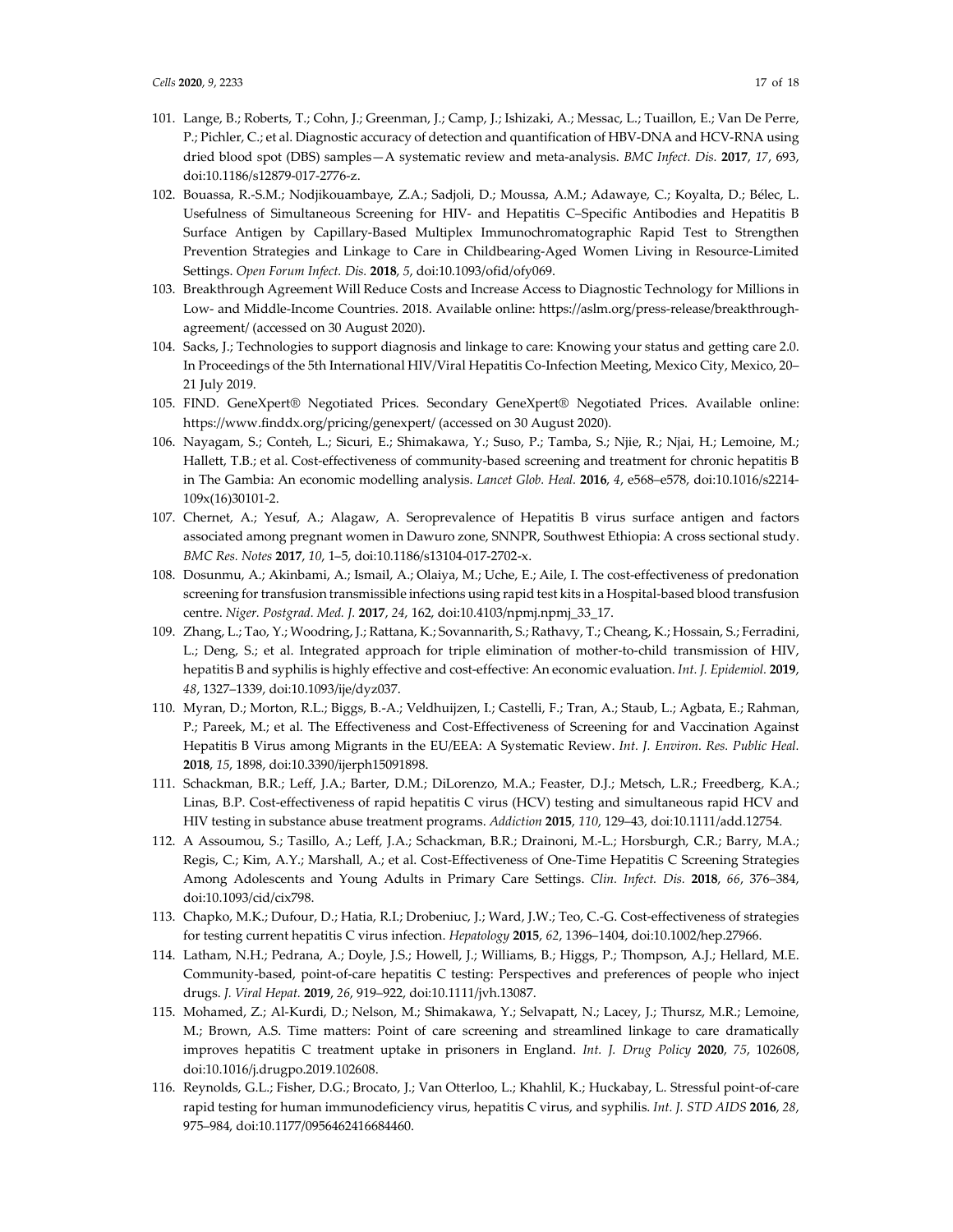- 101. Lange, B.; Roberts, T.; Cohn, J.; Greenman, J.; Camp, J.; Ishizaki, A.; Messac, L.; Tuaillon, E.; Van De Perre, P.; Pichler, C.; et al. Diagnostic accuracy of detection and quantification of HBV-DNA and HCV-RNA using dried blood spot (DBS) samples—A systematic review and meta-analysis. *BMC Infect. Dis.* **2017**, *17*, 693, doi:10.1186/s12879-017-2776-z.
- 102. Bouassa, R.-S.M.; Nodjikouambaye, Z.A.; Sadjoli, D.; Moussa, A.M.; Adawaye, C.; Koyalta, D.; Bélec, L. Usefulness of Simultaneous Screening for HIV- and Hepatitis C–Specific Antibodies and Hepatitis B Surface Antigen by Capillary-Based Multiplex Immunochromatographic Rapid Test to Strengthen Prevention Strategies and Linkage to Care in Childbearing-Aged Women Living in Resource-Limited Settings. *Open Forum Infect. Dis.* **2018**, *5*, doi:10.1093/ofid/ofy069.
- 103. Breakthrough Agreement Will Reduce Costs and Increase Access to Diagnostic Technology for Millions in Low- and Middle-Income Countries. 2018. Available online: https://aslm.org/press-release/breakthroughagreement/ (accessed on 30 August 2020).
- 104. Sacks, J.; Technologies to support diagnosis and linkage to care: Knowing your status and getting care 2.0. In Proceedings of the 5th International HIV/Viral Hepatitis Co-Infection Meeting, Mexico City, Mexico, 20– 21 July 2019.
- 105. FIND. GeneXpert® Negotiated Prices. Secondary GeneXpert® Negotiated Prices. Available online: https://www.finddx.org/pricing/genexpert/ (accessed on 30 August 2020).
- 106. Nayagam, S.; Conteh, L.; Sicuri, E.; Shimakawa, Y.; Suso, P.; Tamba, S.; Njie, R.; Njai, H.; Lemoine, M.; Hallett, T.B.; et al. Cost-effectiveness of community-based screening and treatment for chronic hepatitis B in The Gambia: An economic modelling analysis. *Lancet Glob. Heal.* **2016**, *4*, e568–e578, doi:10.1016/s2214- 109x(16)30101-2.
- 107. Chernet, A.; Yesuf, A.; Alagaw, A. Seroprevalence of Hepatitis B virus surface antigen and factors associated among pregnant women in Dawuro zone, SNNPR, Southwest Ethiopia: A cross sectional study. *BMC Res. Notes* **2017**, *10*, 1–5, doi:10.1186/s13104-017-2702-x.
- 108. Dosunmu, A.; Akinbami, A.; Ismail, A.; Olaiya, M.; Uche, E.; Aile, I. The cost-effectiveness of predonation screening for transfusion transmissible infections using rapid test kits in a Hospital-based blood transfusion centre. *Niger. Postgrad. Med. J.* **2017**, *24*, 162, doi:10.4103/npmj.npmj\_33\_17.
- 109. Zhang, L.; Tao, Y.; Woodring, J.; Rattana, K.; Sovannarith, S.; Rathavy, T.; Cheang, K.; Hossain, S.; Ferradini, L.; Deng, S.; et al. Integrated approach for triple elimination of mother-to-child transmission of HIV, hepatitis B and syphilis is highly effective and cost-effective: An economic evaluation. *Int. J. Epidemiol.* **2019**, *48*, 1327–1339, doi:10.1093/ije/dyz037.
- 110. Myran, D.; Morton, R.L.; Biggs, B.-A.; Veldhuijzen, I.; Castelli, F.; Tran, A.; Staub, L.; Agbata, E.; Rahman, P.; Pareek, M.; et al. The Effectiveness and Cost-Effectiveness of Screening for and Vaccination Against Hepatitis B Virus among Migrants in the EU/EEA: A Systematic Review. *Int. J. Environ. Res. Public Heal.* **2018**, *15*, 1898, doi:10.3390/ijerph15091898.
- 111. Schackman, B.R.; Leff, J.A.; Barter, D.M.; DiLorenzo, M.A.; Feaster, D.J.; Metsch, L.R.; Freedberg, K.A.; Linas, B.P. Cost-effectiveness of rapid hepatitis C virus (HCV) testing and simultaneous rapid HCV and HIV testing in substance abuse treatment programs. *Addiction* **2015**, *110*, 129–43, doi:10.1111/add.12754.
- 112. A Assoumou, S.; Tasillo, A.; Leff, J.A.; Schackman, B.R.; Drainoni, M.-L.; Horsburgh, C.R.; Barry, M.A.; Regis, C.; Kim, A.Y.; Marshall, A.; et al. Cost-Effectiveness of One-Time Hepatitis C Screening Strategies Among Adolescents and Young Adults in Primary Care Settings. *Clin. Infect. Dis.* **2018**, *66*, 376–384, doi:10.1093/cid/cix798.
- 113. Chapko, M.K.; Dufour, D.; Hatia, R.I.; Drobeniuc, J.; Ward, J.W.; Teo, C.-G. Cost-effectiveness of strategies for testing current hepatitis C virus infection. *Hepatology* **2015**, *62*, 1396–1404, doi:10.1002/hep.27966.
- 114. Latham, N.H.; Pedrana, A.; Doyle, J.S.; Howell, J.; Williams, B.; Higgs, P.; Thompson, A.J.; Hellard, M.E. Community-based, point-of-care hepatitis C testing: Perspectives and preferences of people who inject drugs. *J. Viral Hepat.* **2019**, *26*, 919–922, doi:10.1111/jvh.13087.
- 115. Mohamed, Z.; Al-Kurdi, D.; Nelson, M.; Shimakawa, Y.; Selvapatt, N.; Lacey, J.; Thursz, M.R.; Lemoine, M.; Brown, A.S. Time matters: Point of care screening and streamlined linkage to care dramatically improves hepatitis C treatment uptake in prisoners in England. *Int. J. Drug Policy* **2020**, *75*, 102608, doi:10.1016/j.drugpo.2019.102608.
- 116. Reynolds, G.L.; Fisher, D.G.; Brocato, J.; Van Otterloo, L.; Khahlil, K.; Huckabay, L. Stressful point-of-care rapid testing for human immunodeficiency virus, hepatitis C virus, and syphilis. *Int. J. STD AIDS* **2016**, *28*, 975–984, doi:10.1177/0956462416684460.